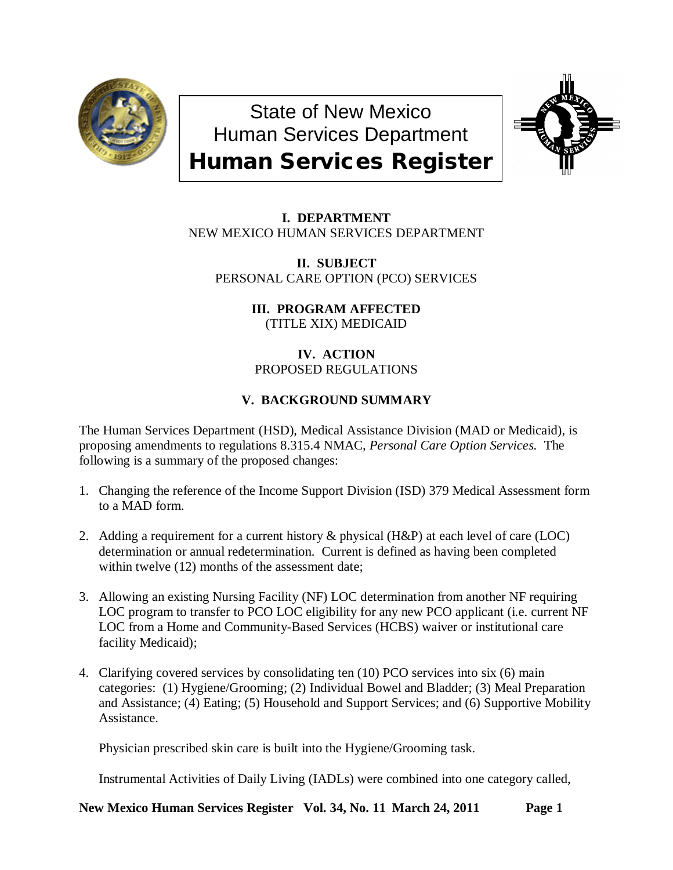

State of New Mexico Human Services Department Human Services Register



**I. DEPARTMENT** NEW MEXICO HUMAN SERVICES DEPARTMENT

**II. SUBJECT** PERSONAL CARE OPTION (PCO) SERVICES

> **III. PROGRAM AFFECTED** (TITLE XIX) MEDICAID

**IV. ACTION** PROPOSED REGULATIONS

# **V. BACKGROUND SUMMARY**

The Human Services Department (HSD), Medical Assistance Division (MAD or Medicaid), is proposing amendments to regulations 8.315.4 NMAC*, Personal Care Option Services.* The following is a summary of the proposed changes:

- 1. Changing the reference of the Income Support Division (ISD) 379 Medical Assessment form to a MAD form.
- 2. Adding a requirement for a current history & physical (H&P) at each level of care (LOC) determination or annual redetermination. Current is defined as having been completed within twelve  $(12)$  months of the assessment date;
- 3. Allowing an existing Nursing Facility (NF) LOC determination from another NF requiring LOC program to transfer to PCO LOC eligibility for any new PCO applicant (i.e. current NF LOC from a Home and Community-Based Services (HCBS) waiver or institutional care facility Medicaid);
- 4. Clarifying covered services by consolidating ten (10) PCO services into six (6) main categories: (1) Hygiene/Grooming; (2) Individual Bowel and Bladder; (3) Meal Preparation and Assistance; (4) Eating; (5) Household and Support Services; and (6) Supportive Mobility Assistance.

Physician prescribed skin care is built into the Hygiene/Grooming task.

Instrumental Activities of Daily Living (IADLs) were combined into one category called,

**New Mexico Human Services Register Vol. 34, No. 11 March 24, 2011 Page 1**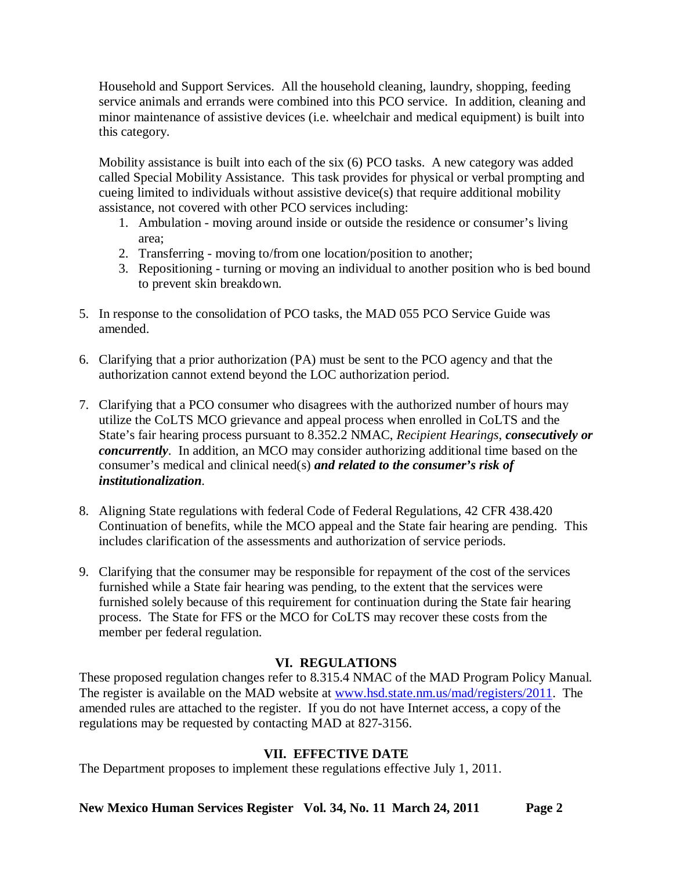Household and Support Services. All the household cleaning, laundry, shopping, feeding service animals and errands were combined into this PCO service. In addition, cleaning and minor maintenance of assistive devices (i.e. wheelchair and medical equipment) is built into this category.

Mobility assistance is built into each of the six (6) PCO tasks. A new category was added called Special Mobility Assistance. This task provides for physical or verbal prompting and cueing limited to individuals without assistive device(s) that require additional mobility assistance, not covered with other PCO services including:

- 1. Ambulation moving around inside or outside the residence or consumer's living area;
- 2. Transferring moving to/from one location/position to another;
- 3. Repositioning turning or moving an individual to another position who is bed bound to prevent skin breakdown.
- 5. In response to the consolidation of PCO tasks, the MAD 055 PCO Service Guide was amended.
- 6. Clarifying that a prior authorization (PA) must be sent to the PCO agency and that the authorization cannot extend beyond the LOC authorization period.
- 7. Clarifying that a PCO consumer who disagrees with the authorized number of hours may utilize the CoLTS MCO grievance and appeal process when enrolled in CoLTS and the State's fair hearing process pursuant to 8.352.2 NMAC, *Recipient Hearings*, *consecutively or concurrently*. In addition, an MCO may consider authorizing additional time based on the consumer's medical and clinical need(s) *and related to the consumer's risk of institutionalization*.
- 8. Aligning State regulations with federal Code of Federal Regulations, 42 CFR 438.420 Continuation of benefits, while the MCO appeal and the State fair hearing are pending. This includes clarification of the assessments and authorization of service periods.
- 9. Clarifying that the consumer may be responsible for repayment of the cost of the services furnished while a State fair hearing was pending, to the extent that the services were furnished solely because of this requirement for continuation during the State fair hearing process. The State for FFS or the MCO for CoLTS may recover these costs from the member per federal regulation.

# **VI. REGULATIONS**

These proposed regulation changes refer to 8.315.4 NMAC of the MAD Program Policy Manual. The register is available on the MAD website at [www.hsd.state.nm.us/mad/registers/2011.](http://www.hsd.state.nm.us/mad/registers/2011) The amended rules are attached to the register. If you do not have Internet access, a copy of the regulations may be requested by contacting MAD at 827-3156.

# **VII. EFFECTIVE DATE**

The Department proposes to implement these regulations effective July 1, 2011.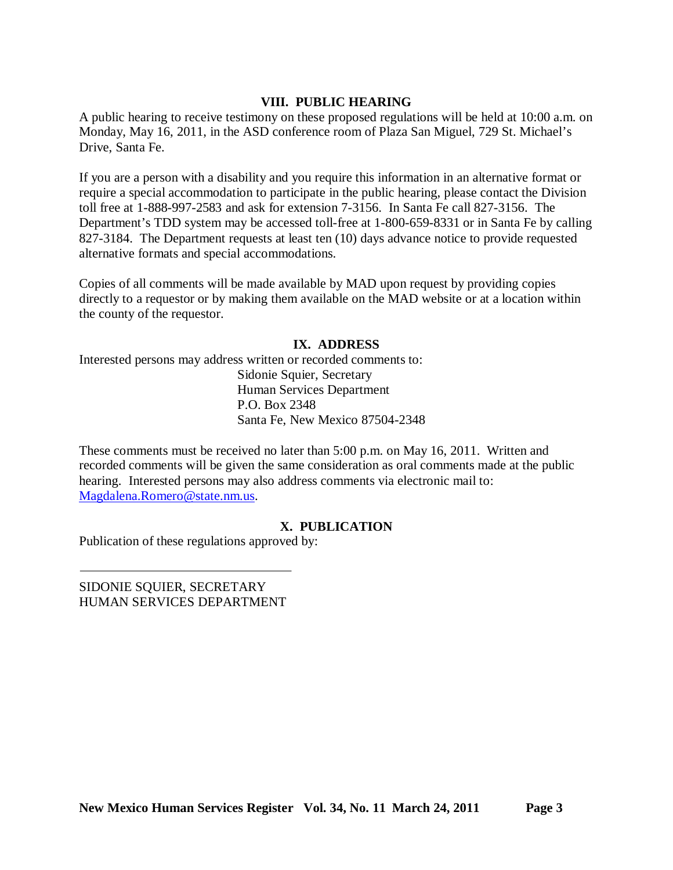## **VIII. PUBLIC HEARING**

A public hearing to receive testimony on these proposed regulations will be held at 10:00 a.m. on Monday, May 16, 2011, in the ASD conference room of Plaza San Miguel, 729 St. Michael's Drive, Santa Fe.

If you are a person with a disability and you require this information in an alternative format or require a special accommodation to participate in the public hearing, please contact the Division toll free at 1-888-997-2583 and ask for extension 7-3156. In Santa Fe call 827-3156. The Department's TDD system may be accessed toll-free at 1-800-659-8331 or in Santa Fe by calling 827-3184. The Department requests at least ten (10) days advance notice to provide requested alternative formats and special accommodations.

Copies of all comments will be made available by MAD upon request by providing copies directly to a requestor or by making them available on the MAD website or at a location within the county of the requestor.

## **IX. ADDRESS**

Interested persons may address written or recorded comments to: Sidonie Squier, Secretary Human Services Department P.O. Box 2348 Santa Fe, New Mexico 87504-2348

These comments must be received no later than 5:00 p.m. on May 16, 2011. Written and recorded comments will be given the same consideration as oral comments made at the public hearing. Interested persons may also address comments via electronic mail to: [Magdalena.Romero@state.nm.us.](mailto:Magdalena.Romero@state.nm.us)

## **X. PUBLICATION**

Publication of these regulations approved by:

SIDONIE SQUIER, SECRETARY HUMAN SERVICES DEPARTMENT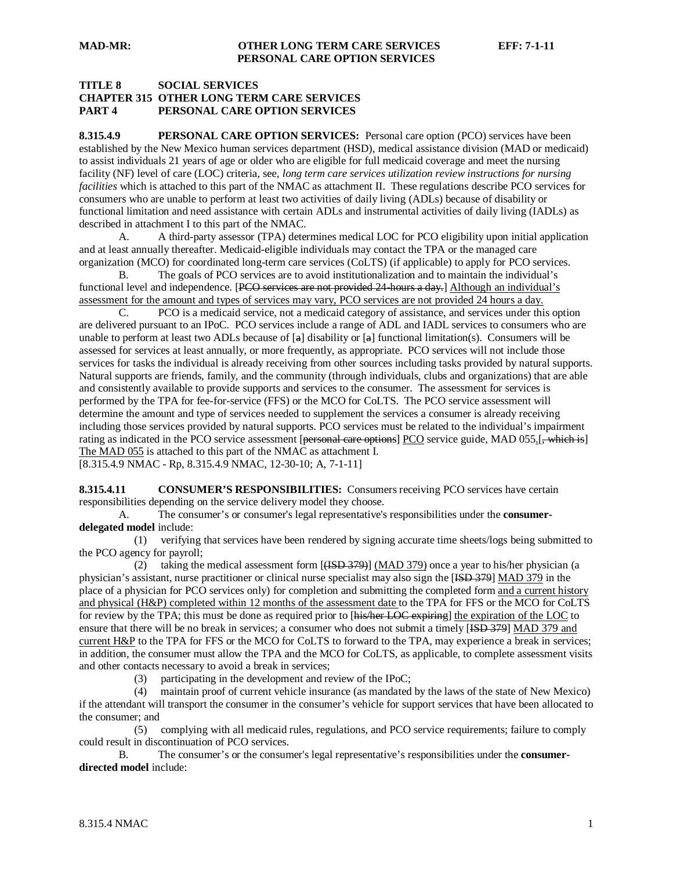## **TITLE 8 SOCIAL SERVICES CHAPTER 315 OTHER LONG TERM CARE SERVICES PART 4 PERSONAL CARE OPTION SERVICES**

**8.315.4.9 PERSONAL CARE OPTION SERVICES:** Personal care option (PCO) services have been established by the New Mexico human services department (HSD), medical assistance division (MAD or medicaid) to assist individuals 21 years of age or older who are eligible for full medicaid coverage and meet the nursing facility (NF) level of care (LOC) criteria, see, *long term care services utilization review instructions for nursing facilities* which is attached to this part of the NMAC as attachment II. These regulations describe PCO services for consumers who are unable to perform at least two activities of daily living (ADLs) because of disability or functional limitation and need assistance with certain ADLs and instrumental activities of daily living (IADLs) as described in attachment I to this part of the NMAC.

A. A third-party assessor (TPA) determines medical LOC for PCO eligibility upon initial application and at least annually thereafter. Medicaid-eligible individuals may contact the TPA or the managed care organization (MCO) for coordinated long-term care services (CoLTS) (if applicable) to apply for PCO services.

B. The goals of PCO services are to avoid institutionalization and to maintain the individual's functional level and independence. [PCO services are not provided 24 hours a day.] Although an individual's assessment for the amount and types of services may vary, PCO services are not provided 24 hours a day.

C. PCO is a medicaid service, not a medicaid category of assistance, and services under this option are delivered pursuant to an IPoC. PCO services include a range of ADL and IADL services to consumers who are unable to perform at least two ADLs because of  $[a]$  disability or  $[a]$  functional limitation(s). Consumers will be assessed for services at least annually, or more frequently, as appropriate. PCO services will not include those services for tasks the individual is already receiving from other sources including tasks provided by natural supports. Natural supports are friends, family, and the community (through individuals, clubs and organizations) that are able and consistently available to provide supports and services to the consumer. The assessment for services is performed by the TPA for fee-for-service (FFS) or the MCO for CoLTS. The PCO service assessment will determine the amount and type of services needed to supplement the services a consumer is already receiving including those services provided by natural supports. PCO services must be related to the individual's impairment rating as indicated in the PCO service assessment [personal care options] PCO service guide, MAD 055.[, which is] The MAD 055 is attached to this part of the NMAC as attachment I. [8.315.4.9 NMAC - Rp, 8.315.4.9 NMAC, 12-30-10; A, 7-1-11]

**8.315.4.11 CONSUMER'S RESPONSIBILITIES:** Consumers receiving PCO services have certain responsibilities depending on the service delivery model they choose.

A. The consumer's or consumer's legal representative's responsibilities under the **consumerdelegated model** include:

 (1) verifying that services have been rendered by signing accurate time sheets/logs being submitted to the PCO agency for payroll;

(2) taking the medical assessment form  $[(**ISBN 379**)]$  (MAD 379) once a year to his/her physician (a physician's assistant, nurse practitioner or clinical nurse specialist may also sign the [ISD 379] MAD 379 in the place of a physician for PCO services only) for completion and submitting the completed form and a current history and physical (H&P) completed within 12 months of the assessment date to the TPA for FFS or the MCO for CoLTS for review by the TPA; this must be done as required prior to [his/her LOC expiring] the expiration of the LOC to ensure that there will be no break in services; a consumer who does not submit a timely [ISD 379] MAD 379 and current H&P to the TPA for FFS or the MCO for CoLTS to forward to the TPA, may experience a break in services; in addition, the consumer must allow the TPA and the MCO for CoLTS, as applicable, to complete assessment visits and other contacts necessary to avoid a break in services;

(3) participating in the development and review of the IPoC;

 (4) maintain proof of current vehicle insurance (as mandated by the laws of the state of New Mexico) if the attendant will transport the consumer in the consumer's vehicle for support services that have been allocated to the consumer; and

 (5) complying with all medicaid rules, regulations, and PCO service requirements; failure to comply could result in discontinuation of PCO services.

B. The consumer's or the consumer's legal representative's responsibilities under the **consumerdirected model** include: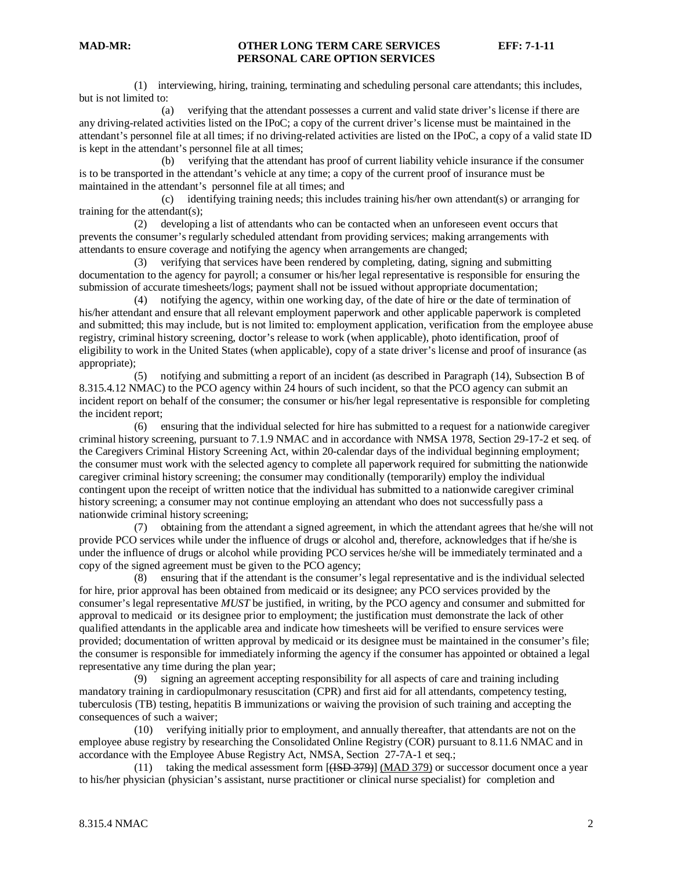(1) interviewing, hiring, training, terminating and scheduling personal care attendants; this includes, but is not limited to:

 (a) verifying that the attendant possesses a current and valid state driver's license if there are any driving-related activities listed on the IPoC; a copy of the current driver's license must be maintained in the attendant's personnel file at all times; if no driving-related activities are listed on the IPoC, a copy of a valid state ID is kept in the attendant's personnel file at all times;

 (b) verifying that the attendant has proof of current liability vehicle insurance if the consumer is to be transported in the attendant's vehicle at any time; a copy of the current proof of insurance must be maintained in the attendant's personnel file at all times; and

 (c) identifying training needs; this includes training his/her own attendant(s) or arranging for training for the attendant(s);

 (2) developing a list of attendants who can be contacted when an unforeseen event occurs that prevents the consumer's regularly scheduled attendant from providing services; making arrangements with attendants to ensure coverage and notifying the agency when arrangements are changed;

 (3) verifying that services have been rendered by completing, dating, signing and submitting documentation to the agency for payroll; a consumer or his/her legal representative is responsible for ensuring the submission of accurate timesheets/logs; payment shall not be issued without appropriate documentation;

 (4) notifying the agency, within one working day, of the date of hire or the date of termination of his/her attendant and ensure that all relevant employment paperwork and other applicable paperwork is completed and submitted; this may include, but is not limited to: employment application, verification from the employee abuse registry, criminal history screening, doctor's release to work (when applicable), photo identification, proof of eligibility to work in the United States (when applicable), copy of a state driver's license and proof of insurance (as appropriate);

 (5) notifying and submitting a report of an incident (as described in Paragraph (14), Subsection B of 8.315.4.12 NMAC) to the PCO agency within 24 hours of such incident, so that the PCO agency can submit an incident report on behalf of the consumer; the consumer or his/her legal representative is responsible for completing the incident report;

 (6) ensuring that the individual selected for hire has submitted to a request for a nationwide caregiver criminal history screening, pursuant to 7.1.9 NMAC and in accordance with NMSA 1978, Section 29-17-2 et seq. of the Caregivers Criminal History Screening Act, within 20-calendar days of the individual beginning employment; the consumer must work with the selected agency to complete all paperwork required for submitting the nationwide caregiver criminal history screening; the consumer may conditionally (temporarily) employ the individual contingent upon the receipt of written notice that the individual has submitted to a nationwide caregiver criminal history screening; a consumer may not continue employing an attendant who does not successfully pass a nationwide criminal history screening;

 (7) obtaining from the attendant a signed agreement, in which the attendant agrees that he/she will not provide PCO services while under the influence of drugs or alcohol and, therefore, acknowledges that if he/she is under the influence of drugs or alcohol while providing PCO services he/she will be immediately terminated and a copy of the signed agreement must be given to the PCO agency;

 (8) ensuring that if the attendant is the consumer's legal representative and is the individual selected for hire, prior approval has been obtained from medicaid or its designee; any PCO services provided by the consumer's legal representative *MUST* be justified, in writing, by the PCO agency and consumer and submitted for approval to medicaid or its designee prior to employment; the justification must demonstrate the lack of other qualified attendants in the applicable area and indicate how timesheets will be verified to ensure services were provided; documentation of written approval by medicaid or its designee must be maintained in the consumer's file; the consumer is responsible for immediately informing the agency if the consumer has appointed or obtained a legal representative any time during the plan year;

 (9) signing an agreement accepting responsibility for all aspects of care and training including mandatory training in cardiopulmonary resuscitation (CPR) and first aid for all attendants, competency testing, tuberculosis (TB) testing, hepatitis B immunizations or waiving the provision of such training and accepting the consequences of such a waiver;

 (10) verifying initially prior to employment, and annually thereafter, that attendants are not on the employee abuse registry by researching the Consolidated Online Registry (COR) pursuant to 8.11.6 NMAC and in accordance with the Employee Abuse Registry Act, NMSA, Section 27-7A-1 et seq.;

 (11) taking the medical assessment form [(ISD 379)] (MAD 379) or successor document once a year to his/her physician (physician's assistant, nurse practitioner or clinical nurse specialist) for completion and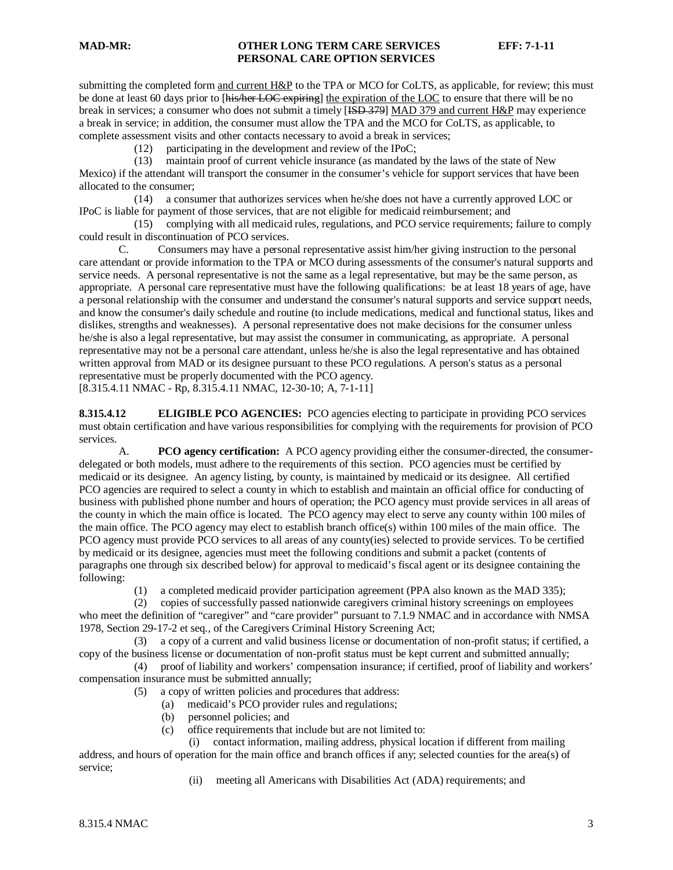submitting the completed form and current H&P to the TPA or MCO for CoLTS, as applicable, for review; this must be done at least 60 days prior to [his/her LOC expiring] the expiration of the LOC to ensure that there will be no break in services; a consumer who does not submit a timely [ISD 379] MAD 379 and current H&P may experience a break in service; in addition, the consumer must allow the TPA and the MCO for CoLTS, as applicable, to complete assessment visits and other contacts necessary to avoid a break in services;

(12) participating in the development and review of the IPoC;

 (13) maintain proof of current vehicle insurance (as mandated by the laws of the state of New Mexico) if the attendant will transport the consumer in the consumer's vehicle for support services that have been allocated to the consumer;

 (14) a consumer that authorizes services when he/she does not have a currently approved LOC or IPoC is liable for payment of those services, that are not eligible for medicaid reimbursement; and

 (15) complying with all medicaid rules, regulations, and PCO service requirements; failure to comply could result in discontinuation of PCO services.

C. Consumers may have a personal representative assist him/her giving instruction to the personal care attendant or provide information to the TPA or MCO during assessments of the consumer's natural supports and service needs. A personal representative is not the same as a legal representative, but may be the same person, as appropriate. A personal care representative must have the following qualifications: be at least 18 years of age, have a personal relationship with the consumer and understand the consumer's natural supports and service support needs, and know the consumer's daily schedule and routine (to include medications, medical and functional status, likes and dislikes, strengths and weaknesses). A personal representative does not make decisions for the consumer unless he/she is also a legal representative, but may assist the consumer in communicating, as appropriate. A personal representative may not be a personal care attendant, unless he/she is also the legal representative and has obtained written approval from MAD or its designee pursuant to these PCO regulations. A person's status as a personal representative must be properly documented with the PCO agency. [8.315.4.11 NMAC - Rp, 8.315.4.11 NMAC, 12-30-10; A, 7-1-11]

**8.315.4.12 ELIGIBLE PCO AGENCIES:** PCO agencies electing to participate in providing PCO services must obtain certification and have various responsibilities for complying with the requirements for provision of PCO services.

A. **PCO agency certification:** A PCO agency providing either the consumer-directed, the consumerdelegated or both models, must adhere to the requirements of this section. PCO agencies must be certified by medicaid or its designee. An agency listing, by county, is maintained by medicaid or its designee. All certified PCO agencies are required to select a county in which to establish and maintain an official office for conducting of business with published phone number and hours of operation; the PCO agency must provide services in all areas of the county in which the main office is located. The PCO agency may elect to serve any county within 100 miles of the main office. The PCO agency may elect to establish branch office(s) within 100 miles of the main office. The PCO agency must provide PCO services to all areas of any county(ies) selected to provide services. To be certified by medicaid or its designee, agencies must meet the following conditions and submit a packet (contents of paragraphs one through six described below) for approval to medicaid's fiscal agent or its designee containing the following:

(1) a completed medicaid provider participation agreement (PPA also known as the MAD 335);

 (2) copies of successfully passed nationwide caregivers criminal history screenings on employees who meet the definition of "caregiver" and "care provider" pursuant to 7.1.9 NMAC and in accordance with NMSA 1978, Section 29-17-2 et seq., of the Caregivers Criminal History Screening Act;

 (3) a copy of a current and valid business license or documentation of non-profit status; if certified, a copy of the business license or documentation of non-profit status must be kept current and submitted annually;

 (4) proof of liability and workers' compensation insurance; if certified, proof of liability and workers' compensation insurance must be submitted annually;

(5) a copy of written policies and procedures that address:

- (a) medicaid's PCO provider rules and regulations;
- (b) personnel policies; and
- (c) office requirements that include but are not limited to:

 (i) contact information, mailing address, physical location if different from mailing address, and hours of operation for the main office and branch offices if any; selected counties for the area(s) of service;

(ii) meeting all Americans with Disabilities Act (ADA) requirements; and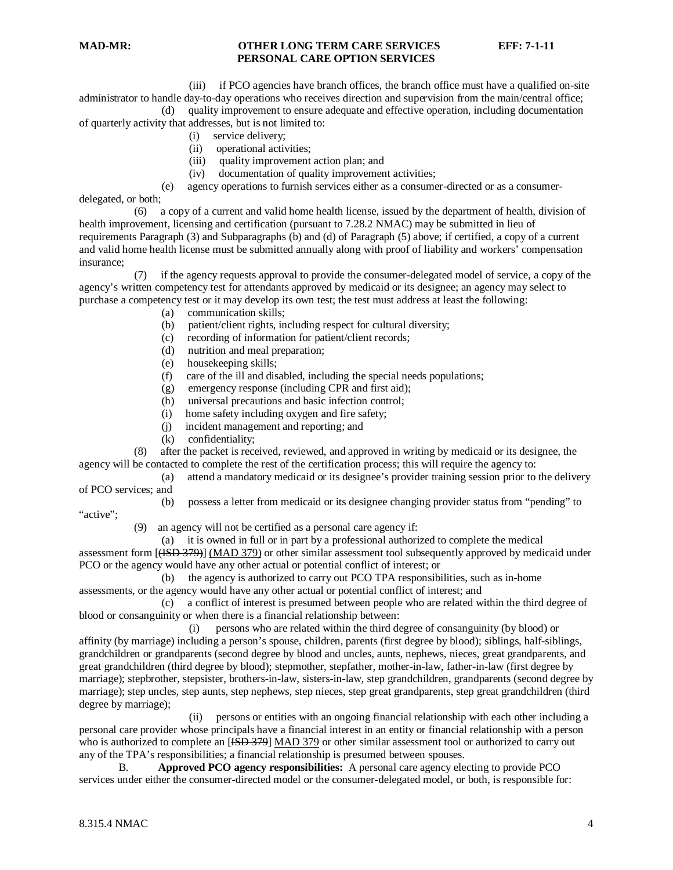(iii) if PCO agencies have branch offices, the branch office must have a qualified on-site administrator to handle day-to-day operations who receives direction and supervision from the main/central office;

 (d) quality improvement to ensure adequate and effective operation, including documentation of quarterly activity that addresses, but is not limited to:

- (i) service delivery;
- (ii) operational activities;
- (iii) quality improvement action plan; and
- (iv) documentation of quality improvement activities;
- (e) agency operations to furnish services either as a consumer-directed or as a consumer-

delegated, or both;

 (6) a copy of a current and valid home health license, issued by the department of health, division of health improvement, licensing and certification (pursuant to 7.28.2 NMAC) may be submitted in lieu of requirements Paragraph (3) and Subparagraphs (b) and (d) of Paragraph (5) above; if certified, a copy of a current and valid home health license must be submitted annually along with proof of liability and workers' compensation insurance;

if the agency requests approval to provide the consumer-delegated model of service, a copy of the agency's written competency test for attendants approved by medicaid or its designee; an agency may select to purchase a competency test or it may develop its own test; the test must address at least the following:

- (a) communication skills;
- (b) patient/client rights, including respect for cultural diversity;
- (c) recording of information for patient/client records;
- (d) nutrition and meal preparation;
- (e) housekeeping skills;
- (f) care of the ill and disabled, including the special needs populations;
- (g) emergency response (including CPR and first aid);
- (h) universal precautions and basic infection control;
- (i) home safety including oxygen and fire safety;
- (j) incident management and reporting; and
- 

(k) confidentiality;<br>(8) after the packet is rece after the packet is received, reviewed, and approved in writing by medicaid or its designee, the agency will be contacted to complete the rest of the certification process; this will require the agency to:

 (a) attend a mandatory medicaid or its designee's provider training session prior to the delivery of PCO services; and

(b) possess a letter from medicaid or its designee changing provider status from "pending" to

"active";

(9) an agency will not be certified as a personal care agency if:

(a) it is owned in full or in part by a professional authorized to complete the medical

assessment form [(ISD 379)] (MAD 379) or other similar assessment tool subsequently approved by medicaid under PCO or the agency would have any other actual or potential conflict of interest; or

 (b) the agency is authorized to carry out PCO TPA responsibilities, such as in-home assessments, or the agency would have any other actual or potential conflict of interest; and

 (c) a conflict of interest is presumed between people who are related within the third degree of blood or consanguinity or when there is a financial relationship between:

 (i) persons who are related within the third degree of consanguinity (by blood) or affinity (by marriage) including a person's spouse, children, parents (first degree by blood); siblings, half-siblings, grandchildren or grandparents (second degree by blood and uncles, aunts, nephews, nieces, great grandparents, and great grandchildren (third degree by blood); stepmother, stepfather, mother-in-law, father-in-law (first degree by marriage); stepbrother, stepsister, brothers-in-law, sisters-in-law, step grandchildren, grandparents (second degree by marriage); step uncles, step aunts, step nephews, step nieces, step great grandparents, step great grandchildren (third degree by marriage);

 (ii) persons or entities with an ongoing financial relationship with each other including a personal care provider whose principals have a financial interest in an entity or financial relationship with a person who is authorized to complete an [ISD 379] MAD 379 or other similar assessment tool or authorized to carry out any of the TPA's responsibilities; a financial relationship is presumed between spouses.

B. **Approved PCO agency responsibilities:** A personal care agency electing to provide PCO services under either the consumer-directed model or the consumer-delegated model, or both, is responsible for: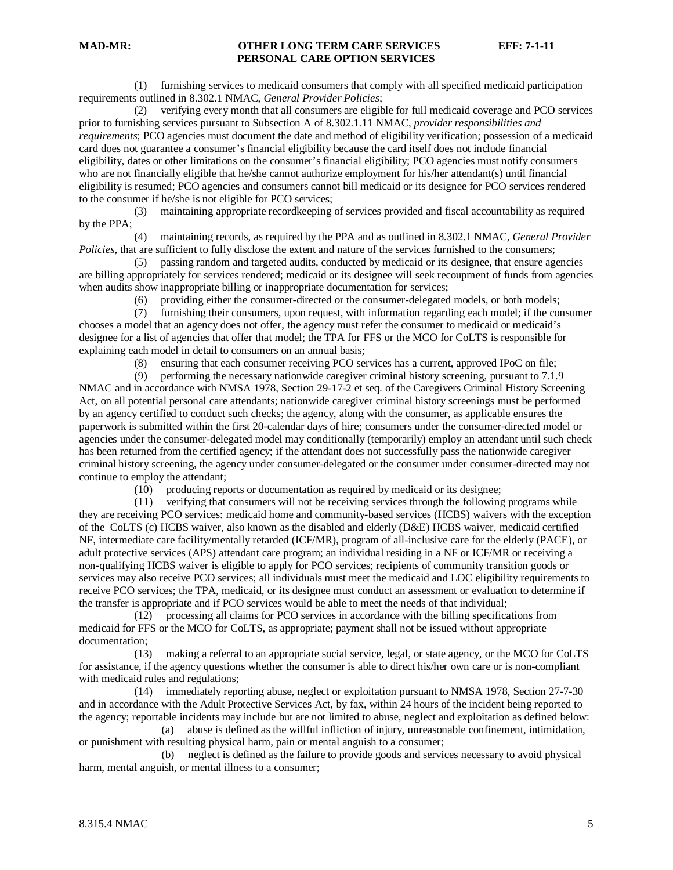(1) furnishing services to medicaid consumers that comply with all specified medicaid participation requirements outlined in 8.302.1 NMAC, *General Provider Policies*;

 (2) verifying every month that all consumers are eligible for full medicaid coverage and PCO services prior to furnishing services pursuant to Subsection A of 8.302.1.11 NMAC, *provider responsibilities and requirements*; PCO agencies must document the date and method of eligibility verification; possession of a medicaid card does not guarantee a consumer's financial eligibility because the card itself does not include financial eligibility, dates or other limitations on the consumer's financial eligibility; PCO agencies must notify consumers who are not financially eligible that he/she cannot authorize employment for his/her attendant(s) until financial eligibility is resumed; PCO agencies and consumers cannot bill medicaid or its designee for PCO services rendered to the consumer if he/she is not eligible for PCO services;

 (3) maintaining appropriate recordkeeping of services provided and fiscal accountability as required by the PPA;

 (4) maintaining records, as required by the PPA and as outlined in 8.302.1 NMAC, *General Provider Policies*, that are sufficient to fully disclose the extent and nature of the services furnished to the consumers;

 (5) passing random and targeted audits, conducted by medicaid or its designee, that ensure agencies are billing appropriately for services rendered; medicaid or its designee will seek recoupment of funds from agencies when audits show inappropriate billing or inappropriate documentation for services;

(6) providing either the consumer-directed or the consumer-delegated models, or both models;

 (7) furnishing their consumers, upon request, with information regarding each model; if the consumer chooses a model that an agency does not offer, the agency must refer the consumer to medicaid or medicaid's designee for a list of agencies that offer that model; the TPA for FFS or the MCO for CoLTS is responsible for explaining each model in detail to consumers on an annual basis;

(8) ensuring that each consumer receiving PCO services has a current, approved IPoC on file;

 (9) performing the necessary nationwide caregiver criminal history screening, pursuant to 7.1.9 NMAC and in accordance with NMSA 1978, Section 29-17-2 et seq. of the Caregivers Criminal History Screening Act, on all potential personal care attendants; nationwide caregiver criminal history screenings must be performed by an agency certified to conduct such checks; the agency, along with the consumer, as applicable ensures the paperwork is submitted within the first 20-calendar days of hire; consumers under the consumer-directed model or agencies under the consumer-delegated model may conditionally (temporarily) employ an attendant until such check has been returned from the certified agency; if the attendant does not successfully pass the nationwide caregiver criminal history screening, the agency under consumer-delegated or the consumer under consumer-directed may not continue to employ the attendant;

(10) producing reports or documentation as required by medicaid or its designee;

 (11) verifying that consumers will not be receiving services through the following programs while they are receiving PCO services: medicaid home and community-based services (HCBS) waivers with the exception of the CoLTS (c) HCBS waiver, also known as the disabled and elderly (D&E) HCBS waiver, medicaid certified NF, intermediate care facility/mentally retarded (ICF/MR), program of all-inclusive care for the elderly (PACE), or adult protective services (APS) attendant care program; an individual residing in a NF or ICF/MR or receiving a non-qualifying HCBS waiver is eligible to apply for PCO services; recipients of community transition goods or services may also receive PCO services; all individuals must meet the medicaid and LOC eligibility requirements to receive PCO services; the TPA, medicaid, or its designee must conduct an assessment or evaluation to determine if the transfer is appropriate and if PCO services would be able to meet the needs of that individual;

 (12) processing all claims for PCO services in accordance with the billing specifications from medicaid for FFS or the MCO for CoLTS, as appropriate; payment shall not be issued without appropriate documentation;

 (13) making a referral to an appropriate social service, legal, or state agency, or the MCO for CoLTS for assistance, if the agency questions whether the consumer is able to direct his/her own care or is non-compliant with medicaid rules and regulations;

 (14) immediately reporting abuse, neglect or exploitation pursuant to NMSA 1978, Section 27-7-30 and in accordance with the Adult Protective Services Act, by fax, within 24 hours of the incident being reported to the agency; reportable incidents may include but are not limited to abuse, neglect and exploitation as defined below:

 (a) abuse is defined as the willful infliction of injury, unreasonable confinement, intimidation, or punishment with resulting physical harm, pain or mental anguish to a consumer;

 (b) neglect is defined as the failure to provide goods and services necessary to avoid physical harm, mental anguish, or mental illness to a consumer;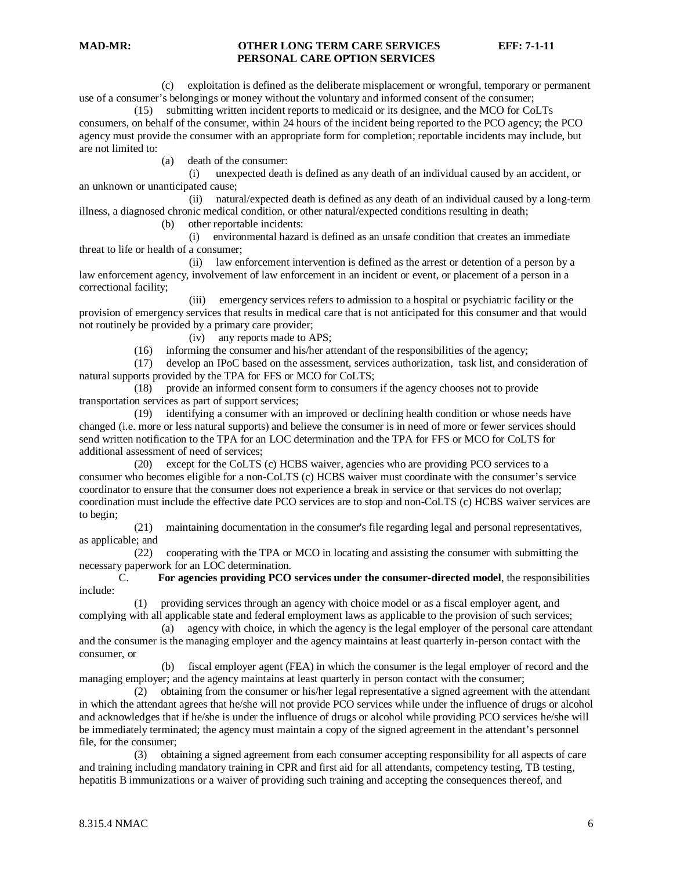(c) exploitation is defined as the deliberate misplacement or wrongful, temporary or permanent use of a consumer's belongings or money without the voluntary and informed consent of the consumer;

 (15) submitting written incident reports to medicaid or its designee, and the MCO for CoLTs consumers, on behalf of the consumer, within 24 hours of the incident being reported to the PCO agency; the PCO agency must provide the consumer with an appropriate form for completion; reportable incidents may include, but are not limited to:

(a) death of the consumer:

 (i) unexpected death is defined as any death of an individual caused by an accident, or an unknown or unanticipated cause;

 (ii) natural/expected death is defined as any death of an individual caused by a long-term illness, a diagnosed chronic medical condition, or other natural/expected conditions resulting in death;

(b) other reportable incidents:

 (i) environmental hazard is defined as an unsafe condition that creates an immediate threat to life or health of a consumer;

 (ii) law enforcement intervention is defined as the arrest or detention of a person by a law enforcement agency, involvement of law enforcement in an incident or event, or placement of a person in a correctional facility;

 (iii) emergency services refers to admission to a hospital or psychiatric facility or the provision of emergency services that results in medical care that is not anticipated for this consumer and that would not routinely be provided by a primary care provider;

(iv) any reports made to APS;

(16) informing the consumer and his/her attendant of the responsibilities of the agency;

 (17) develop an IPoC based on the assessment, services authorization, task list, and consideration of natural supports provided by the TPA for FFS or MCO for CoLTS;

 (18) provide an informed consent form to consumers if the agency chooses not to provide transportation services as part of support services;

 (19) identifying a consumer with an improved or declining health condition or whose needs have changed (i.e. more or less natural supports) and believe the consumer is in need of more or fewer services should send written notification to the TPA for an LOC determination and the TPA for FFS or MCO for CoLTS for additional assessment of need of services;

 (20) except for the CoLTS (c) HCBS waiver, agencies who are providing PCO services to a consumer who becomes eligible for a non-CoLTS (c) HCBS waiver must coordinate with the consumer's service coordinator to ensure that the consumer does not experience a break in service or that services do not overlap; coordination must include the effective date PCO services are to stop and non-CoLTS (c) HCBS waiver services are to begin;

 (21) maintaining documentation in the consumer's file regarding legal and personal representatives, as applicable; and

 (22) cooperating with the TPA or MCO in locating and assisting the consumer with submitting the necessary paperwork for an LOC determination.

C. **For agencies providing PCO services under the consumer-directed model**, the responsibilities include:

 (1) providing services through an agency with choice model or as a fiscal employer agent, and complying with all applicable state and federal employment laws as applicable to the provision of such services;

 (a) agency with choice, in which the agency is the legal employer of the personal care attendant and the consumer is the managing employer and the agency maintains at least quarterly in-person contact with the consumer, or

 (b) fiscal employer agent (FEA) in which the consumer is the legal employer of record and the managing employer; and the agency maintains at least quarterly in person contact with the consumer;

 (2) obtaining from the consumer or his/her legal representative a signed agreement with the attendant in which the attendant agrees that he/she will not provide PCO services while under the influence of drugs or alcohol and acknowledges that if he/she is under the influence of drugs or alcohol while providing PCO services he/she will be immediately terminated; the agency must maintain a copy of the signed agreement in the attendant's personnel file, for the consumer;

 (3) obtaining a signed agreement from each consumer accepting responsibility for all aspects of care and training including mandatory training in CPR and first aid for all attendants, competency testing, TB testing, hepatitis B immunizations or a waiver of providing such training and accepting the consequences thereof, and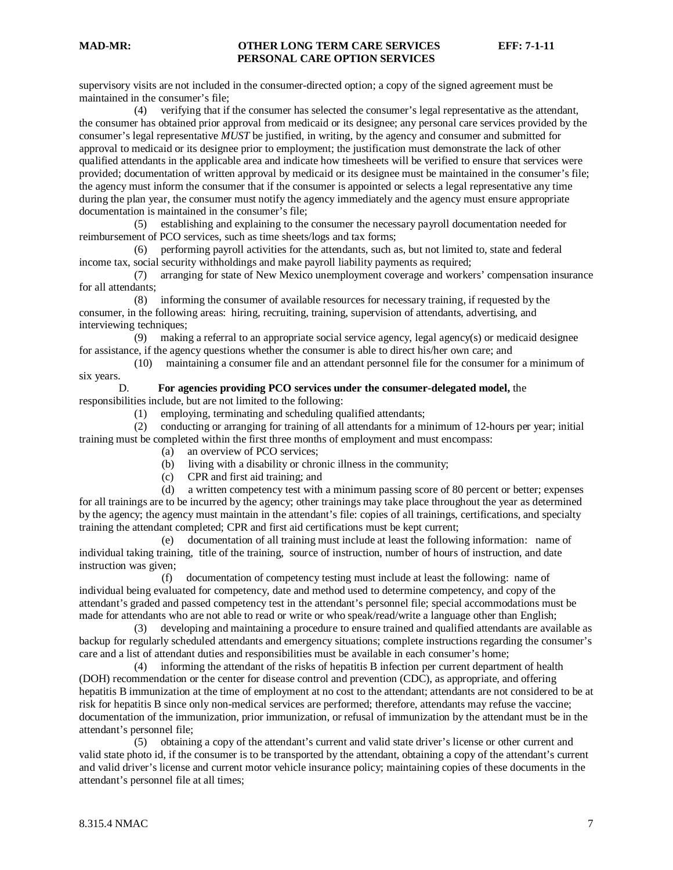supervisory visits are not included in the consumer-directed option; a copy of the signed agreement must be maintained in the consumer's file;

 (4) verifying that if the consumer has selected the consumer's legal representative as the attendant, the consumer has obtained prior approval from medicaid or its designee; any personal care services provided by the consumer's legal representative *MUST* be justified, in writing, by the agency and consumer and submitted for approval to medicaid or its designee prior to employment; the justification must demonstrate the lack of other qualified attendants in the applicable area and indicate how timesheets will be verified to ensure that services were provided; documentation of written approval by medicaid or its designee must be maintained in the consumer's file; the agency must inform the consumer that if the consumer is appointed or selects a legal representative any time during the plan year, the consumer must notify the agency immediately and the agency must ensure appropriate documentation is maintained in the consumer's file;

 (5) establishing and explaining to the consumer the necessary payroll documentation needed for reimbursement of PCO services, such as time sheets/logs and tax forms;

 (6) performing payroll activities for the attendants, such as, but not limited to, state and federal income tax, social security withholdings and make payroll liability payments as required;

 (7) arranging for state of New Mexico unemployment coverage and workers' compensation insurance for all attendants;

 (8) informing the consumer of available resources for necessary training, if requested by the consumer, in the following areas: hiring, recruiting, training, supervision of attendants, advertising, and interviewing techniques;<br>(9) making

making a referral to an appropriate social service agency, legal agency(s) or medicaid designee for assistance, if the agency questions whether the consumer is able to direct his/her own care; and

 (10) maintaining a consumer file and an attendant personnel file for the consumer for a minimum of six years.

D. **For agencies providing PCO services under the consumer-delegated model,** the responsibilities include, but are not limited to the following:

(1) employing, terminating and scheduling qualified attendants;

 (2) conducting or arranging for training of all attendants for a minimum of 12-hours per year; initial training must be completed within the first three months of employment and must encompass:

- (a) an overview of PCO services;
- (b) living with a disability or chronic illness in the community;
- (c) CPR and first aid training; and<br>(d) a written competency test with

a written competency test with a minimum passing score of 80 percent or better; expenses for all trainings are to be incurred by the agency; other trainings may take place throughout the year as determined by the agency; the agency must maintain in the attendant's file: copies of all trainings, certifications, and specialty training the attendant completed; CPR and first aid certifications must be kept current;

 (e) documentation of all training must include at least the following information: name of individual taking training, title of the training, source of instruction, number of hours of instruction, and date instruction was given;

 (f) documentation of competency testing must include at least the following: name of individual being evaluated for competency, date and method used to determine competency, and copy of the attendant's graded and passed competency test in the attendant's personnel file; special accommodations must be made for attendants who are not able to read or write or who speak/read/write a language other than English;

 (3) developing and maintaining a procedure to ensure trained and qualified attendants are available as backup for regularly scheduled attendants and emergency situations; complete instructions regarding the consumer's care and a list of attendant duties and responsibilities must be available in each consumer's home;

 (4) informing the attendant of the risks of hepatitis B infection per current department of health (DOH) recommendation or the center for disease control and prevention (CDC), as appropriate, and offering hepatitis B immunization at the time of employment at no cost to the attendant; attendants are not considered to be at risk for hepatitis B since only non-medical services are performed; therefore, attendants may refuse the vaccine; documentation of the immunization, prior immunization, or refusal of immunization by the attendant must be in the attendant's personnel file;

 (5) obtaining a copy of the attendant's current and valid state driver's license or other current and valid state photo id, if the consumer is to be transported by the attendant, obtaining a copy of the attendant's current and valid driver's license and current motor vehicle insurance policy; maintaining copies of these documents in the attendant's personnel file at all times;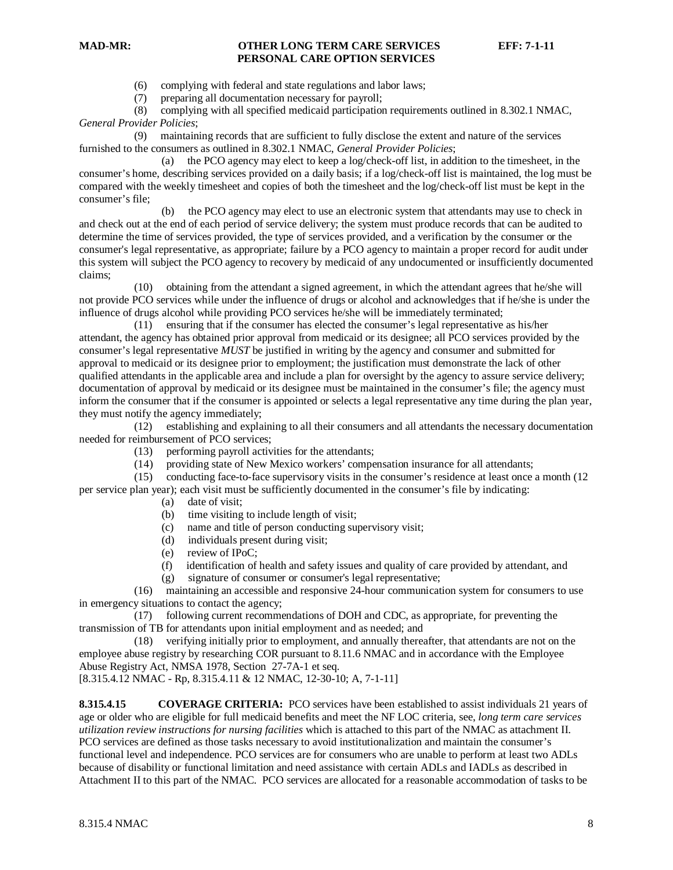- (6) complying with federal and state regulations and labor laws;
- (7) preparing all documentation necessary for payroll;

 (8) complying with all specified medicaid participation requirements outlined in 8.302.1 NMAC, *General Provider Policies*;

 (9) maintaining records that are sufficient to fully disclose the extent and nature of the services furnished to the consumers as outlined in 8.302.1 NMAC, *General Provider Policies*;

 (a) the PCO agency may elect to keep a log/check-off list, in addition to the timesheet, in the consumer's home, describing services provided on a daily basis; if a log/check-off list is maintained, the log must be compared with the weekly timesheet and copies of both the timesheet and the log/check-off list must be kept in the consumer's file;

 (b) the PCO agency may elect to use an electronic system that attendants may use to check in and check out at the end of each period of service delivery; the system must produce records that can be audited to determine the time of services provided, the type of services provided, and a verification by the consumer or the consumer's legal representative, as appropriate; failure by a PCO agency to maintain a proper record for audit under this system will subject the PCO agency to recovery by medicaid of any undocumented or insufficiently documented claims;

 (10) obtaining from the attendant a signed agreement, in which the attendant agrees that he/she will not provide PCO services while under the influence of drugs or alcohol and acknowledges that if he/she is under the influence of drugs alcohol while providing PCO services he/she will be immediately terminated;

 (11) ensuring that if the consumer has elected the consumer's legal representative as his/her attendant, the agency has obtained prior approval from medicaid or its designee; all PCO services provided by the consumer's legal representative *MUST* be justified in writing by the agency and consumer and submitted for approval to medicaid or its designee prior to employment; the justification must demonstrate the lack of other qualified attendants in the applicable area and include a plan for oversight by the agency to assure service delivery; documentation of approval by medicaid or its designee must be maintained in the consumer's file; the agency must inform the consumer that if the consumer is appointed or selects a legal representative any time during the plan year, they must notify the agency immediately;

 (12) establishing and explaining to all their consumers and all attendants the necessary documentation needed for reimbursement of PCO services;

- (13) performing payroll activities for the attendants;
- (14) providing state of New Mexico workers' compensation insurance for all attendants;

 (15) conducting face-to-face supervisory visits in the consumer's residence at least once a month (12 per service plan year); each visit must be sufficiently documented in the consumer's file by indicating:

- (a) date of visit;
	- (b) time visiting to include length of visit;
	- (c) name and title of person conducting supervisory visit;
	- (d) individuals present during visit;
- (e) review of IPoC;
- (f) identification of health and safety issues and quality of care provided by attendant, and
- (g) signature of consumer or consumer's legal representative;

 (16) maintaining an accessible and responsive 24-hour communication system for consumers to use in emergency situations to contact the agency;

 (17) following current recommendations of DOH and CDC, as appropriate, for preventing the transmission of TB for attendants upon initial employment and as needed; and

 (18) verifying initially prior to employment, and annually thereafter, that attendants are not on the employee abuse registry by researching COR pursuant to 8.11.6 NMAC and in accordance with the Employee Abuse Registry Act, NMSA 1978, Section 27-7A-1 et seq. [8.315.4.12 NMAC - Rp, 8.315.4.11 & 12 NMAC, 12-30-10; A, 7-1-11]

**8.315.4.15 COVERAGE CRITERIA:** PCO services have been established to assist individuals 21 years of age or older who are eligible for full medicaid benefits and meet the NF LOC criteria, see, *long term care services utilization review instructions for nursing facilities* which is attached to this part of the NMAC as attachment II. PCO services are defined as those tasks necessary to avoid institutionalization and maintain the consumer's functional level and independence. PCO services are for consumers who are unable to perform at least two ADLs because of disability or functional limitation and need assistance with certain ADLs and IADLs as described in Attachment II to this part of the NMAC. PCO services are allocated for a reasonable accommodation of tasks to be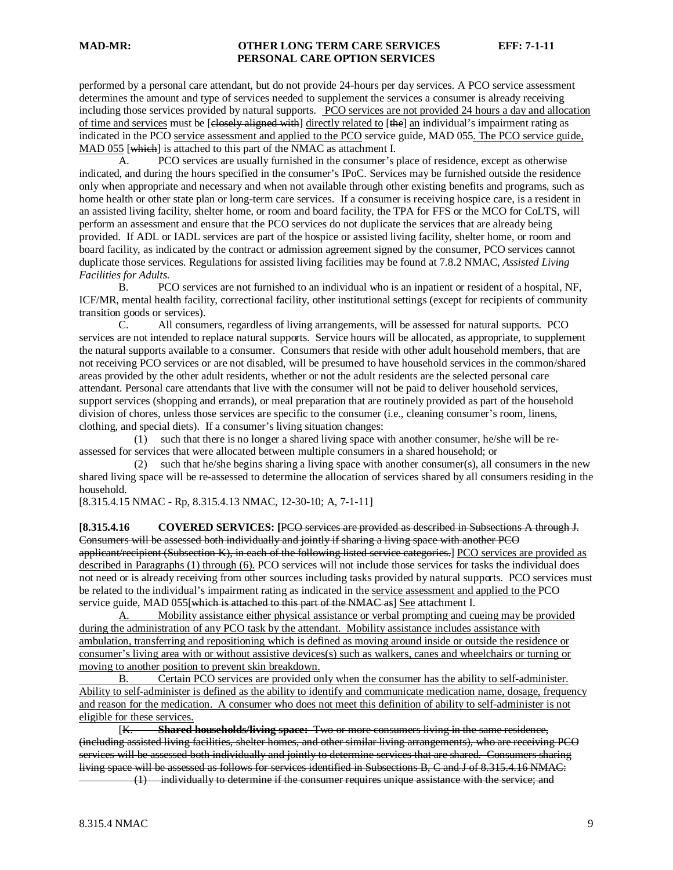performed by a personal care attendant, but do not provide 24-hours per day services. A PCO service assessment determines the amount and type of services needed to supplement the services a consumer is already receiving including those services provided by natural supports. PCO services are not provided 24 hours a day and allocation of time and services must be [elosely aligned with] directly related to [the] an individual's impairment rating as indicated in the PCO service assessment and applied to the PCO service guide, MAD 055. The PCO service guide, MAD 055 [which] is attached to this part of the NMAC as attachment I.

A. PCO services are usually furnished in the consumer's place of residence, except as otherwise indicated, and during the hours specified in the consumer's IPoC. Services may be furnished outside the residence only when appropriate and necessary and when not available through other existing benefits and programs, such as home health or other state plan or long-term care services. If a consumer is receiving hospice care, is a resident in an assisted living facility, shelter home, or room and board facility, the TPA for FFS or the MCO for CoLTS, will perform an assessment and ensure that the PCO services do not duplicate the services that are already being provided. If ADL or IADL services are part of the hospice or assisted living facility, shelter home, or room and board facility, as indicated by the contract or admission agreement signed by the consumer, PCO services cannot duplicate those services. Regulations for assisted living facilities may be found at 7.8.2 NMAC, *Assisted Living Facilities for Adults.*

B. PCO services are not furnished to an individual who is an inpatient or resident of a hospital, NF, ICF/MR, mental health facility, correctional facility, other institutional settings (except for recipients of community transition goods or services).

C. All consumers, regardless of living arrangements, will be assessed for natural supports. PCO services are not intended to replace natural supports. Service hours will be allocated, as appropriate, to supplement the natural supports available to a consumer. Consumers that reside with other adult household members, that are not receiving PCO services or are not disabled, will be presumed to have household services in the common/shared areas provided by the other adult residents, whether or not the adult residents are the selected personal care attendant. Personal care attendants that live with the consumer will not be paid to deliver household services, support services (shopping and errands), or meal preparation that are routinely provided as part of the household division of chores, unless those services are specific to the consumer (i.e., cleaning consumer's room, linens, clothing, and special diets). If a consumer's living situation changes:

 (1) such that there is no longer a shared living space with another consumer, he/she will be reassessed for services that were allocated between multiple consumers in a shared household; or

 (2) such that he/she begins sharing a living space with another consumer(s), all consumers in the new shared living space will be re-assessed to determine the allocation of services shared by all consumers residing in the household.

[8.315.4.15 NMAC - Rp, 8.315.4.13 NMAC, 12-30-10; A, 7-1-11]

**[8.315.4.16 COVERED SERVICES: [**PCO services are provided as described in Subsections A through J. Consumers will be assessed both individually and jointly if sharing a living space with another PCO applicant/recipient (Subsection K), in each of the following listed service categories.] PCO services are provided as described in Paragraphs (1) through (6). PCO services will not include those services for tasks the individual does not need or is already receiving from other sources including tasks provided by natural supports. PCO services must be related to the individual's impairment rating as indicated in the service assessment and applied to the PCO service guide, MAD 055[which is attached to this part of the NMAC as] See attachment I.

A. Mobility assistance either physical assistance or verbal prompting and cueing may be provided during the administration of any PCO task by the attendant. Mobility assistance includes assistance with ambulation, transferring and repositioning which is defined as moving around inside or outside the residence or consumer's living area with or without assistive devices(s) such as walkers, canes and wheelchairs or turning or moving to another position to prevent skin breakdown.<br>B. Certain PCO services are provided or

B. Certain PCO services are provided only when the consumer has the ability to self-administer. Ability to self-administer is defined as the ability to identify and communicate medication name, dosage, frequency and reason for the medication. A consumer who does not meet this definition of ability to self-administer is not eligible for these services.

 $K$ . K. **Shared households/living space:** Two or more consumers living in the same residence, (including assisted living facilities, shelter homes, and other similar living arrangements), who are receiving PCO services will be assessed both individually and jointly to determine services that are shared. Consumers sharing living space will be assessed as follows for services identified in Subsections B, C and J of 8.315.4.16 NMAC: (1) individually to determine if the consumer requires unique assistance with the service; and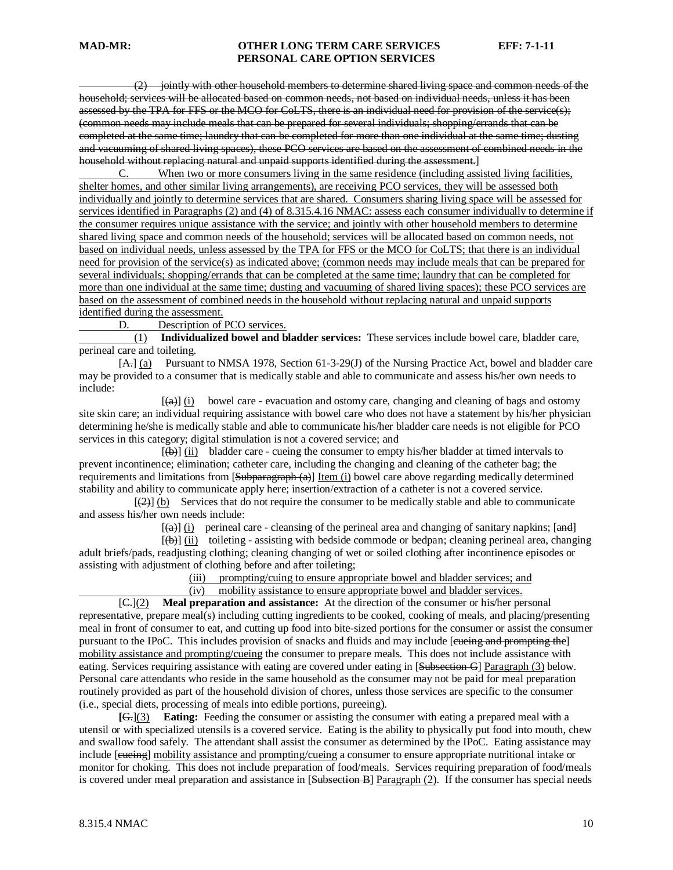(2) jointly with other household members to determine shared living space and common needs of the household; services will be allocated based on common needs, not based on individual needs, unless it has been assessed by the TPA for FFS or the MCO for CoLTS, there is an individual need for provision of the service(s); (common needs may include meals that can be prepared for several individuals; shopping/errands that can be completed at the same time; laundry that can be completed for more than one individual at the same time; dusting and vacuuming of shared living spaces), these PCO services are based on the assessment of combined needs in the household without replacing natural and unpaid supports identified during the assessment.]<br>C. When two or more consumers living in the same residence (including assi

When two or more consumers living in the same residence (including assisted living facilities, shelter homes, and other similar living arrangements), are receiving PCO services, they will be assessed both individually and jointly to determine services that are shared. Consumers sharing living space will be assessed for services identified in Paragraphs (2) and (4) of 8.315.4.16 NMAC: assess each consumer individually to determine if the consumer requires unique assistance with the service; and jointly with other household members to determine shared living space and common needs of the household; services will be allocated based on common needs, not based on individual needs, unless assessed by the TPA for FFS or the MCO for CoLTS; that there is an individual need for provision of the service(s) as indicated above; (common needs may include meals that can be prepared for several individuals; shopping/errands that can be completed at the same time; laundry that can be completed for more than one individual at the same time; dusting and vacuuming of shared living spaces); these PCO services are based on the assessment of combined needs in the household without replacing natural and unpaid supports identified during the assessment.

D. Description of PCO services.

 (1) **Individualized bowel and bladder services:** These services include bowel care, bladder care, perineal care and toileting.

[A<sub>7</sub>] (a) Pursuant to NMSA 1978, Section 61-3-29(J) of the Nursing Practice Act, bowel and bladder care may be provided to a consumer that is medically stable and able to communicate and assess his/her own needs to include:

[*[*]  $\left(\frac{a}{b}\right)$  (i) bowel care - evacuation and ostomy care, changing and cleaning of bags and ostomy site skin care; an individual requiring assistance with bowel care who does not have a statement by his/her physician determining he/she is medically stable and able to communicate his/her bladder care needs is not eligible for PCO services in this category; digital stimulation is not a covered service; and

 [  $\overline{(\theta)}$  (ii) bladder care - cueing the consumer to empty his/her bladder at timed intervals to prevent incontinence; elimination; catheter care, including the changing and cleaning of the catheter bag; the requirements and limitations from [Subparagraph (a)] Item (i) bowel care above regarding medically determined stability and ability to communicate apply here; insertion/extraction of a catheter is not a covered service.

 $\begin{bmatrix} 1 & 1 \\ 1 & 1 \end{bmatrix}$  $\left(\frac{2}{2}\right)$  (b) Services that do not require the consumer to be medically stable and able to communicate and assess his/her own needs include:

 $\left(\frac{a}{b}\right)$  (i) perineal care - cleansing of the perineal area and changing of sanitary napkins; [and]

[*[*] [  $\left(\frac{b}{c}\right)$  (ii) toileting - assisting with bedside commode or bedpan; cleaning perineal area, changing adult briefs/pads, readjusting clothing; cleaning changing of wet or soiled clothing after incontinence episodes or assisting with adjustment of clothing before and after toileting;

> (iii) prompting/cuing to ensure appropriate bowel and bladder services; and (iv) mobility assistance to ensure appropriate bowel and bladder services.

 $[ $\infty$ ](2)$ **Meal preparation and assistance:** At the direction of the consumer or his/her personal representative, prepare meal(s) including cutting ingredients to be cooked, cooking of meals, and placing/presenting meal in front of consumer to eat, and cutting up food into bite-sized portions for the consumer or assist the consumer pursuant to the IPoC. This includes provision of snacks and fluids and may include [eueing and prompting the] mobility assistance and prompting/cueing the consumer to prepare meals. This does not include assistance with eating. Services requiring assistance with eating are covered under eating in [Subsection G] Paragraph (3) below. Personal care attendants who reside in the same household as the consumer may not be paid for meal preparation routinely provided as part of the household division of chores, unless those services are specific to the consumer (i.e., special diets, processing of meals into edible portions, pureeing).

**[** G.](3) **Eating:** Feeding the consumer or assisting the consumer with eating a prepared meal with a utensil or with specialized utensils is a covered service. Eating is the ability to physically put food into mouth, chew and swallow food safely. The attendant shall assist the consumer as determined by the IPoC. Eating assistance may include [eueing] mobility assistance and prompting/cueing a consumer to ensure appropriate nutritional intake or monitor for choking. This does not include preparation of food/meals. Services requiring preparation of food/meals is covered under meal preparation and assistance in [Subsection B] Paragraph (2). If the consumer has special needs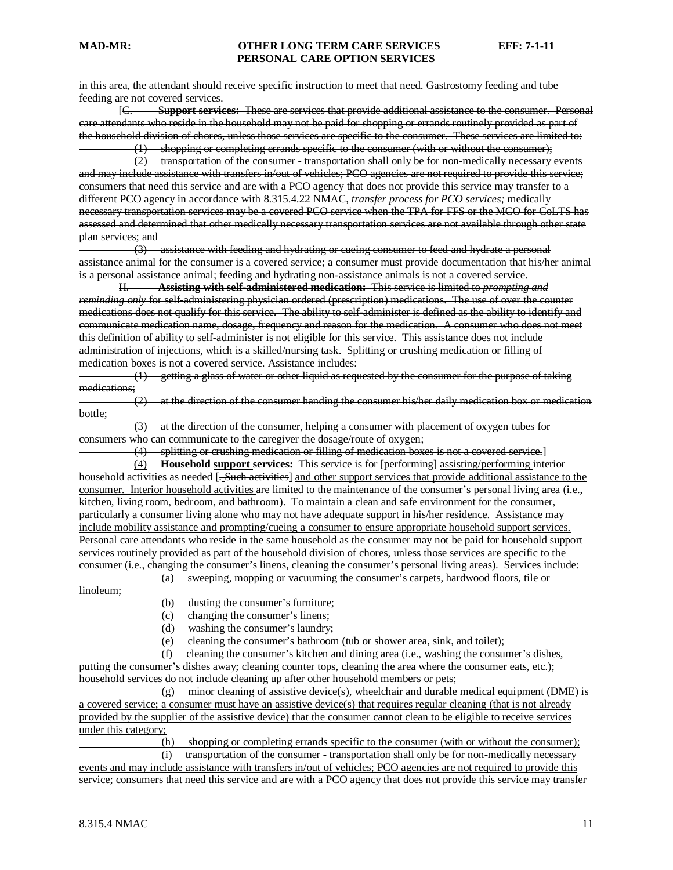in this area, the attendant should receive specific instruction to meet that need. Gastrostomy feeding and tube feeding are not covered services.

[C. Su**pport services:** These are services that provide additional assistance to the consumer. Personal care attendants who reside in the household may not be paid for shopping or errands routinely provided as part of the household division of chores, unless those services are specific to the consumer. These services are limited to:

shopping or completing errands specific to the consumer (with or without the consumer); (2) transportation of the consumer - transportation shall only be for non-medically necessary events and may include assistance with transfers in/out of vehicles; PCO agencies are not required to provide this service; consumers that need this service and are with a PCO agency that does not provide this service may transfer to a different PCO agency in accordance with 8.315.4.22 NMAC, *transfer process for PCO services;* medically necessary transportation services may be a covered PCO service when the TPA for FFS or the MCO for CoLTS has assessed and determined that other medically necessary transportation services are not available through other state plan services; and

 (3) assistance with feeding and hydrating or cueing consumer to feed and hydrate a personal assistance animal for the consumer is a covered service; a consumer must provide documentation that his/her animal is a personal assistance animal; feeding and hydrating non-assistance animals is not a covered service.

H. **Assisting with self-administered medication:** This service is limited to *prompting and reminding only for self-administering physician ordered (prescription) medications. The use of over the counter* medications does not qualify for this service. The ability to self-administer is defined as the ability to identify and communicate medication name, dosage, frequency and reason for the medication. A consumer who does not meet this definition of ability to self-administer is not eligible for this service. This assistance does not include administration of injections, which is a skilled/nursing task. Splitting or crushing medication or filling of medication boxes is not a covered service. Assistance includes:

 (1) getting a glass of water or other liquid as requested by the consumer for the purpose of taking medications:

 (2) at the direction of the consumer handing the consumer his/her daily medication box or medication bottle;

 (3) at the direction of the consumer, helping a consumer with placement of oxygen tubes for consumers who can communicate to the caregiver the dosage/route of oxygen;

(4) splitting or crushing medication or filling of medication boxes is not a covered service. ]

(4) **Household support services:** This service is for [performing] assisting/performing interior household activities as needed [<del>. Such activities</del>] and other support services that provide additional assistance to the consumer. Interior household activities are limited to the maintenance of the consumer's personal living area (i.e., kitchen, living room, bedroom, and bathroom). To maintain a clean and safe environment for the consumer, particularly a consumer living alone who may not have adequate support in his/her residence. Assistance may include mobility assistance and prompting/cueing a consumer to ensure appropriate household support services. Personal care attendants who reside in the same household as the consumer may not be paid for household support services routinely provided as part of the household division of chores, unless those services are specific to the consumer (i.e., changing the consumer's linens, cleaning the consumer's personal living areas). Services include:

(a) sweeping, mopping or vacuuming the consumer's carpets, hardwood floors, tile or

linoleum;

- (b) dusting the consumer's furniture;
- (c) changing the consumer's linens;
- (d) washing the consumer's laundry;
- (e) cleaning the consumer's bathroom (tub or shower area, sink, and toilet);

 (f) cleaning the consumer's kitchen and dining area (i.e., washing the consumer's dishes, putting the consumer's dishes away; cleaning counter tops, cleaning the area where the consumer eats, etc.); household services do not include cleaning up after other household members or pets;

 $(g)$  minor cleaning of assistive device(s), wheelchair and durable medical equipment (DME) is a covered service; a consumer must have an assistive device(s) that requires regular cleaning (that is not already provided by the supplier of the assistive device) that the consumer cannot clean to be eligible to receive services under this category;

 (h) shopping or completing errands specific to the consumer (with or without the consumer); (i) transportation of the consumer - transportation shall only be for non-medically necessary

events and may include assistance with transfers in/out of vehicles; PCO agencies are not required to provide this service; consumers that need this service and are with a PCO agency that does not provide this service may transfer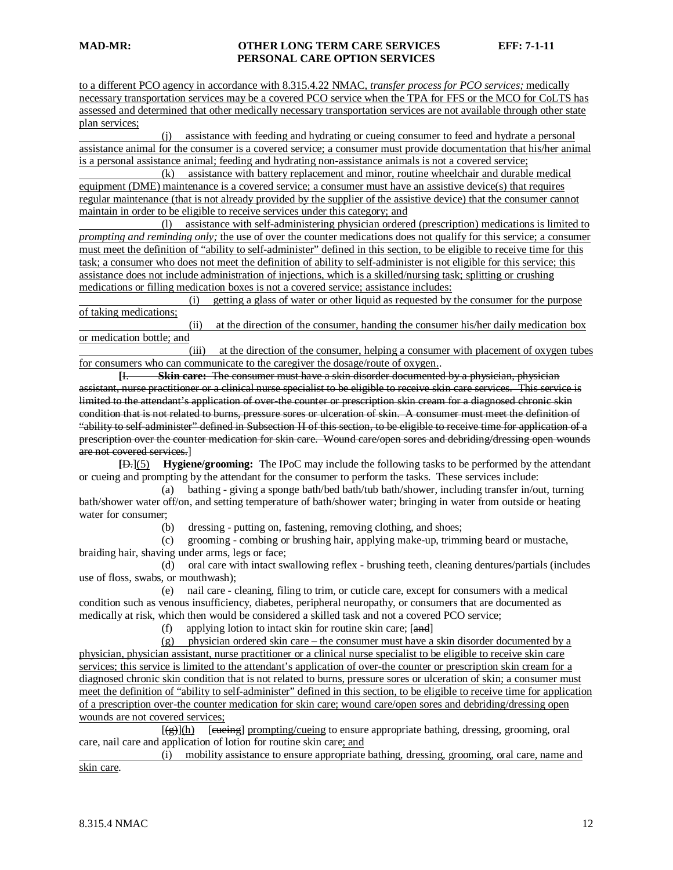to a different PCO agency in accordance with 8.315.4.22 NMAC, *transfer process for PCO services;* medically necessary transportation services may be a covered PCO service when the TPA for FFS or the MCO for CoLTS has assessed and determined that other medically necessary transportation services are not available through other state plan services;

 (j) assistance with feeding and hydrating or cueing consumer to feed and hydrate a personal assistance animal for the consumer is a covered service; a consumer must provide documentation that his/her animal is a personal assistance animal; feeding and hydrating non-assistance animals is not a covered service;

 (k) assistance with battery replacement and minor, routine wheelchair and durable medical equipment (DME) maintenance is a covered service; a consumer must have an assistive device(s) that requires regular maintenance (that is not already provided by the supplier of the assistive device) that the consumer cannot maintain in order to be eligible to receive services under this category; and

 (l) assistance with self-administering physician ordered (prescription) medications is limited to *prompting and reminding only;* the use of over the counter medications does not qualify for this service; a consumer must meet the definition of "ability to self-administer" defined in this section, to be eligible to receive time for this task; a consumer who does not meet the definition of ability to self-administer is not eligible for this service; this assistance does not include administration of injections, which is a skilled/nursing task; splitting or crushing medications or filling medication boxes is not a covered service; assistance includes:

 (i) getting a glass of water or other liquid as requested by the consumer for the purpose of taking medications;

 (ii) at the direction of the consumer, handing the consumer his/her daily medication box or medication bottle; and

 (iii) at the direction of the consumer, helping a consumer with placement of oxygen tubes for consumers who can communicate to the caregiver the dosage/route of oxygen. .

**[** I. **Skin care:** The consumer must have a skin disorder documented by a physician, physician assistant, nurse practitioner or a clinical nurse specialist to be eligible to receive skin care services. This service is limited to the attendant's application of over-the counter or prescription skin cream for a diagnosed chronic skin condition that is not related to burns, pressure sores or ulceration of skin. A consumer must meet the definition of "ability to self-administer" defined in Subsection H of this section, to be eligible to receive time for application of a prescription over the counter medication for skin care. Wound care/open sores and debriding/dressing open wounds are not covered services. ]

**[** D.](5) **Hygiene/grooming:** The IPoC may include the following tasks to be performed by the attendant or cueing and prompting by the attendant for the consumer to perform the tasks. These services include:

 (a) bathing - giving a sponge bath/bed bath/tub bath/shower, including transfer in/out, turning bath/shower water off/on, and setting temperature of bath/shower water; bringing in water from outside or heating water for consumer;

(b) dressing - putting on, fastening, removing clothing, and shoes;

 (c) grooming - combing or brushing hair, applying make-up, trimming beard or mustache, braiding hair, shaving under arms, legs or face;

 (d) oral care with intact swallowing reflex - brushing teeth, cleaning dentures/partials (includes use of floss, swabs, or mouthwash);

 (e) nail care - cleaning, filing to trim, or cuticle care, except for consumers with a medical condition such as venous insufficiency, diabetes, peripheral neuropathy, or consumers that are documented as medically at risk, which then would be considered a skilled task and not a covered PCO service;

(f) applying lotion to intact skin for routine skin care; [and]

(g) physician ordered skin care – the consumer must have a skin disorder documented by a physician, physician assistant, nurse practitioner or a clinical nurse specialist to be eligible to receive skin care services; this service is limited to the attendant's application of over-the counter or prescription skin cream for a diagnosed chronic skin condition that is not related to burns, pressure sores or ulceration of skin; a consumer must meet the definition of "ability to self-administer" defined in this section, to be eligible to receive time for application of a prescription over-the counter medication for skin care; wound care/open sores and debriding/dressing open wounds are not covered services;

 $\begin{bmatrix} 1 & 1 & 1 \\ 1 & 1 & 1 \end{bmatrix}$  $[(g)](h)$  [eueing] prompting/cueing to ensure appropriate bathing, dressing, grooming, oral care, nail care and application of lotion for routine skin care; and

 (i) mobility assistance to ensure appropriate bathing, dressing, grooming, oral care, name and skin care.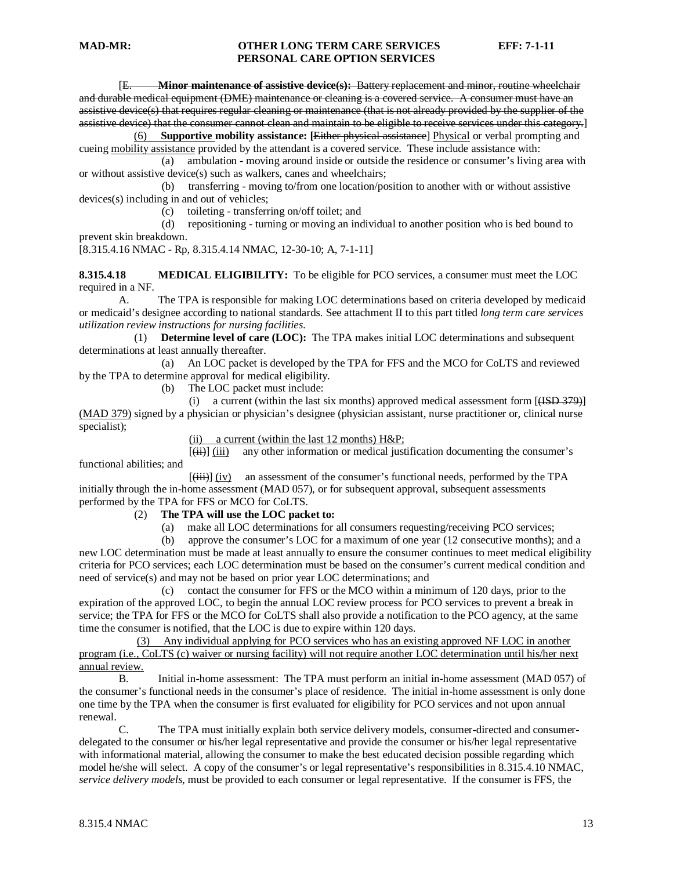[E. **Minor maintenance of assistive device(s):** Battery replacement and minor, routine wheelchair and durable medical equipment (DME) maintenance or cleaning is a covered service. A consumer must have an assistive device(s) that requires regular cleaning or maintenance (that is not already provided by the supplier of the assistive device) that the consumer cannot clean and maintain to be eligible to receive services under this category. ]

(6) **Supportive mobility assistance: [**Either physical assistance] Physical or verbal prompting and cueing mobility assistance provided by the attendant is a covered service. These include assistance with:

 (a) ambulation - moving around inside or outside the residence or consumer's living area with or without assistive device(s) such as walkers, canes and wheelchairs;

 (b) transferring - moving to/from one location/position to another with or without assistive devices(s) including in and out of vehicles;

(c) toileting - transferring on/off toilet; and

 (d) repositioning - turning or moving an individual to another position who is bed bound to prevent skin breakdown.

[8.315.4.16 NMAC - Rp, 8.315.4.14 NMAC, 12-30-10; A, 7-1-11]

**8.315.4.18 MEDICAL ELIGIBILITY:** To be eligible for PCO services, a consumer must meet the LOC required in a NF.

A. The TPA is responsible for making LOC determinations based on criteria developed by medicaid or medicaid's designee according to national standards. See attachment II to this part titled *long term care services utilization review instructions for nursing facilities*.

 (1) **Determine level of care (LOC):** The TPA makes initial LOC determinations and subsequent determinations at least annually thereafter.

 (a) An LOC packet is developed by the TPA for FFS and the MCO for CoLTS and reviewed by the TPA to determine approval for medical eligibility.

(b) The LOC packet must include:

(i) a current (within the last six months) approved medical assessment form  $[{\text{HSD 379}}]$ (MAD 379) signed by a physician or physician's designee (physician assistant, nurse practitioner or, clinical nurse specialist);

(ii) a current (within the last 12 months) H&P;

 [  $\overline{(\overrightarrow{ii})}$  (iii) any other information or medical justification documenting the consumer's functional abilities; and

 $\mathcal{L}$  (and the set of  $\mathcal{L}$  ) and  $\mathcal{L}$ (iii)] (iv) an assessment of the consumer's functional needs, performed by the TPA initially through the in-home assessment (MAD 057), or for subsequent approval, subsequent assessments performed by the TPA for FFS or MCO for CoLTS.

#### (2) **The TPA will use the LOC packet to:**

(a) make all LOC determinations for all consumers requesting/receiving PCO services;

 (b) approve the consumer's LOC for a maximum of one year (12 consecutive months); and a new LOC determination must be made at least annually to ensure the consumer continues to meet medical eligibility criteria for PCO services; each LOC determination must be based on the consumer's current medical condition and need of service(s) and may not be based on prior year LOC determinations; and

 (c) contact the consumer for FFS or the MCO within a minimum of 120 days, prior to the expiration of the approved LOC, to begin the annual LOC review process for PCO services to prevent a break in service; the TPA for FFS or the MCO for CoLTS shall also provide a notification to the PCO agency, at the same time the consumer is notified, that the LOC is due to expire within 120 days.

(3) Any individual applying for PCO services who has an existing approved NF LOC in another program (i.e., CoLTS (c) waiver or nursing facility) will not require another LOC determination until his/her next annual review.

B. Initial in-home assessment: The TPA must perform an initial in-home assessment (MAD 057) of the consumer's functional needs in the consumer's place of residence. The initial in-home assessment is only done one time by the TPA when the consumer is first evaluated for eligibility for PCO services and not upon annual renewal.

C. The TPA must initially explain both service delivery models, consumer-directed and consumerdelegated to the consumer or his/her legal representative and provide the consumer or his/her legal representative with informational material, allowing the consumer to make the best educated decision possible regarding which model he/she will select. A copy of the consumer's or legal representative's responsibilities in 8.315.4.10 NMAC, *service delivery models,* must be provided to each consumer or legal representative. If the consumer is FFS, the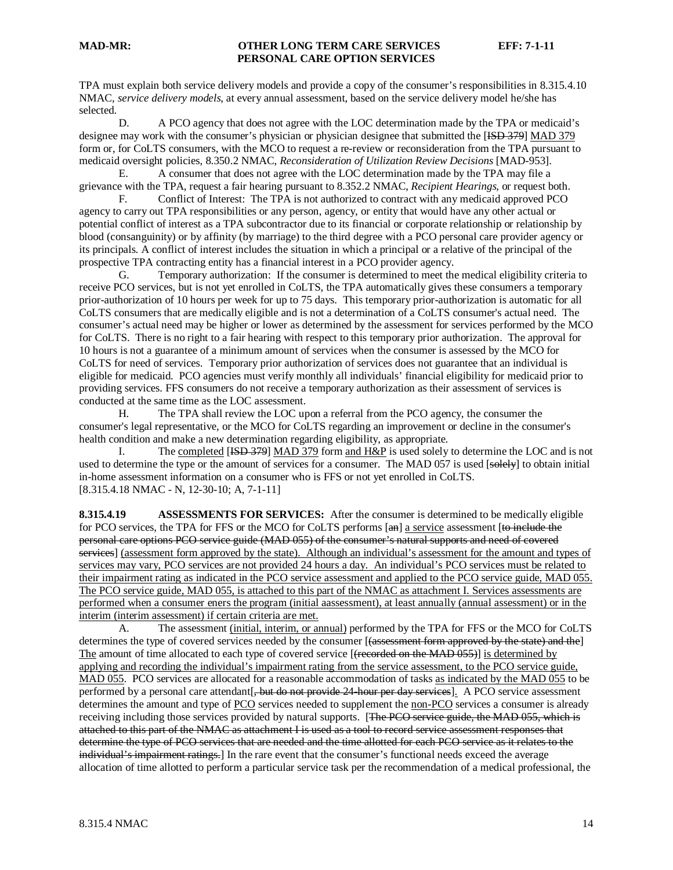TPA must explain both service delivery models and provide a copy of the consumer's responsibilities in 8.315.4.10 NMAC, *service delivery models*, at every annual assessment, based on the service delivery model he/she has selected.

D. A PCO agency that does not agree with the LOC determination made by the TPA or medicaid's designee may work with the consumer's physician or physician designee that submitted the [ISD 379] MAD 379 form or, for CoLTS consumers, with the MCO to request a re-review or reconsideration from the TPA pursuant to medicaid oversight policies, 8.350.2 NMAC, *Reconsideration of Utilization Review Decisions* [MAD-953].

E. A consumer that does not agree with the LOC determination made by the TPA may file a grievance with the TPA, request a fair hearing pursuant to 8.352.2 NMAC, *Recipient Hearings,* or request both.

F. Conflict of Interest: The TPA is not authorized to contract with any medicaid approved PCO agency to carry out TPA responsibilities or any person, agency, or entity that would have any other actual or potential conflict of interest as a TPA subcontractor due to its financial or corporate relationship or relationship by blood (consanguinity) or by affinity (by marriage) to the third degree with a PCO personal care provider agency or its principals. A conflict of interest includes the situation in which a principal or a relative of the principal of the prospective TPA contracting entity has a financial interest in a PCO provider agency.

G. Temporary authorization: If the consumer is determined to meet the medical eligibility criteria to receive PCO services, but is not yet enrolled in CoLTS, the TPA automatically gives these consumers a temporary prior-authorization of 10 hours per week for up to 75 days. This temporary prior-authorization is automatic for all CoLTS consumers that are medically eligible and is not a determination of a CoLTS consumer's actual need. The consumer's actual need may be higher or lower as determined by the assessment for services performed by the MCO for CoLTS. There is no right to a fair hearing with respect to this temporary prior authorization. The approval for 10 hours is not a guarantee of a minimum amount of services when the consumer is assessed by the MCO for CoLTS for need of services. Temporary prior authorization of services does not guarantee that an individual is eligible for medicaid. PCO agencies must verify monthly all individuals' financial eligibility for medicaid prior to providing services. FFS consumers do not receive a temporary authorization as their assessment of services is conducted at the same time as the LOC assessment.

H. The TPA shall review the LOC upon a referral from the PCO agency, the consumer the consumer's legal representative, or the MCO for CoLTS regarding an improvement or decline in the consumer's health condition and make a new determination regarding eligibility, as appropriate.

I. The completed [ISD 379] MAD 379 form and H&P is used solely to determine the LOC and is not used to determine the type or the amount of services for a consumer. The MAD 057 is used [solely] to obtain initial [8.315.4.18 NMAC - N, 12-30-10; A, 7-1-11] in-home assessment information on a consumer who is FFS or not yet enrolled in CoLTS.

**8.315.4.19 ASSESSMENTS FOR SERVICES:** After the consumer is determined to be medically eligible for PCO services, the TPA for FFS or the MCO for CoLTS performs [an] a service assessment [to include the personal care options PCO service guide (MAD 055) of the consumer's natural supports and need of covered services] (assessment form approved by the state). Although an individual's assessment for the amount and types of services may vary, PCO services are not provided 24 hours a day. An individual's PCO services must be related to their impairment rating as indicated in the PCO service assessment and applied to the PCO service guide, MAD 055. The PCO service guide, MAD 055, is attached to this part of the NMAC as attachment I. Services assessments are performed when a consumer eners the program (initial aassessment), at least annually (annual assessment) or in the interim (interim assessment) if certain criteria are met.

A. The assessment (initial, interim, or annual) performed by the TPA for FFS or the MCO for CoLTS determines the type of covered services needed by the consumer [<del>(assessment form approved by the state) and the</del>] The amount of time allocated to each type of covered service [(recorded on the MAD 055)] is determined by applying and recording the individual's impairment rating from the service assessment, to the PCO service guide, MAD 055. PCO services are allocated for a reasonable accommodation of tasks as indicated by the MAD 055 to be performed by a personal care attendant [, but do not provide 24-hour per day services]. A PCO service assessment determines the amount and type of PCO services needed to supplement the non-PCO services a consumer is already receiving including those services provided by natural supports. [The PCO service guide, the MAD 055, which is attached to this part of the NMAC as attachment I is used as a tool to record service assessment responses that determine the type of PCO services that are needed and the time allotted for each PCO service as it relates to the individual's impairment ratings.] In the rare event that the consumer's functional needs exceed the average allocation of time allotted to perform a particular service task per the recommendation of a medical professional, the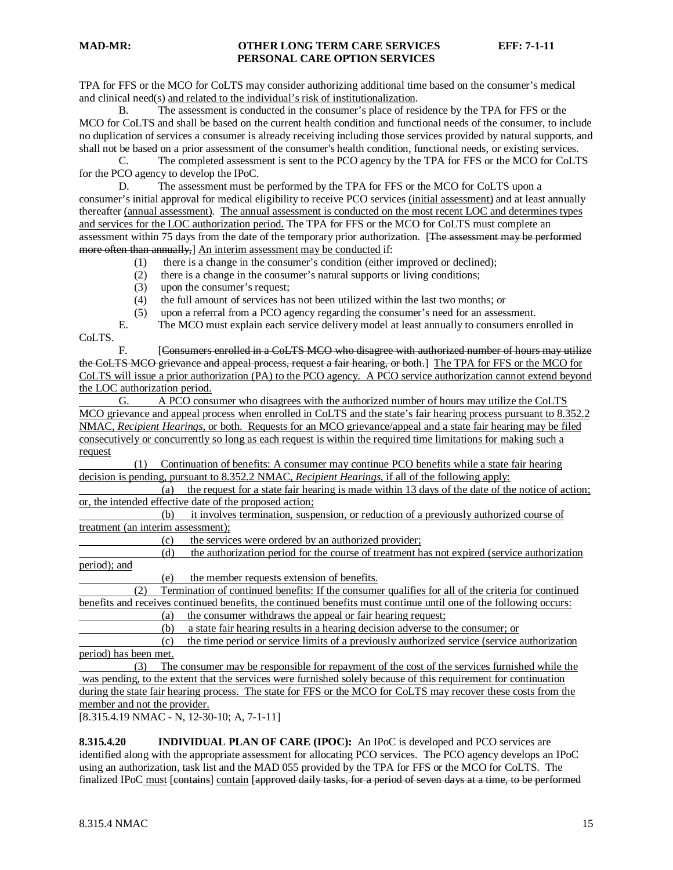TPA for FFS or the MCO for CoLTS may consider authorizing additional time based on the consumer's medical and clinical need(s) and related to the individual's risk of institutionalization.

B. The assessment is conducted in the consumer's place of residence by the TPA for FFS or the MCO for CoLTS and shall be based on the current health condition and functional needs of the consumer, to include no duplication of services a consumer is already receiving including those services provided by natural supports, and shall not be based on a prior assessment of the consumer's health condition, functional needs, or existing services.

C. The completed assessment is sent to the PCO agency by the TPA for FFS or the MCO for CoLTS for the PCO agency to develop the IPoC.

D. The assessment must be performed by the TPA for FFS or the MCO for CoLTS upon a consumer's initial approval for medical eligibility to receive PCO services (initial assessment) and at least annually thereafter (annual assessment). The annual assessment is conducted on the most recent LOC and determines types and services for the LOC authorization period. The TPA for FFS or the MCO for CoLTS must complete an assessment within 75 days from the date of the temporary prior authorization. [The assessment may be performed more often than annually, M interim assessment may be conducted if:

- (1) there is a change in the consumer's condition (either improved or declined);
- (2) there is a change in the consumer's natural supports or living conditions;
- (3) upon the consumer's request;
- (4) the full amount of services has not been utilized within the last two months; or
- (5) upon a referral from a PCO agency regarding the consumer's need for an assessment.
- E. The MCO must explain each service delivery model at least annually to consumers enrolled in

CoLTS.

F. [Consumers enrolled in a CoLTS MCO who disagree with authorized number of hours may utilize the CoLTS MCO grievance and appeal process, request a fair hearing, or both.] The TPA for FFS or the MCO for CoLTS will issue a prior authorization (PA) to the PCO agency. A PCO service authorization cannot extend beyond the LOC authorization period.

G. A PCO consumer who disagrees with the authorized number of hours may utilize the CoLTS MCO grievance and appeal process when enrolled in CoLTS and the state's fair hearing process pursuant to 8.352.2 NMAC, *Recipient Hearings*, or both. Requests for an MCO grievance/appeal and a state fair hearing may be filed consecutively or concurrently so long as each request is within the required time limitations for making such a request

 (1) Continuation of benefits: A consumer may continue PCO benefits while a state fair hearing decision is pending, pursuant to 8.352.2 NMAC, *Recipient Hearings,* if all of the following apply:

 (a) the request for a state fair hearing is made within 13 days of the date of the notice of action; or, the intended effective date of the proposed action;

| (b)                                | it involves termination, suspension, or reduction of a previously authorized course of |  |  |  |  |
|------------------------------------|----------------------------------------------------------------------------------------|--|--|--|--|
| treatment (an interim assessment): |                                                                                        |  |  |  |  |

(c) the services were ordered by an authorized provider;

 (d) the authorization period for the course of treatment has not expired (service authorization period); and

(e) the member requests extension of benefits.

 (2) Termination of continued benefits: If the consumer qualifies for all of the criteria for continued benefits and receives continued benefits, the continued benefits must continue until one of the following occurs:

(a) the consumer withdraws the appeal or fair hearing request;

(b) a state fair hearing results in a hearing decision adverse to the consumer; or

 (c) the time period or service limits of a previously authorized service (service authorization period) has been met.

 (3) The consumer may be responsible for repayment of the cost of the services furnished while the was pending, to the extent that the services were furnished solely because of this requirement for continuation during the state fair hearing process. The state for FFS or the MCO for CoLTS may recover these costs from the member and not the provider.

[8.315.4.19 NMAC - N, 12-30-10; A, 7-1-11]

**8.315.4.20 INDIVIDUAL PLAN OF CARE (IPOC):** An IPoC is developed and PCO services are identified along with the appropriate assessment for allocating PCO services. The PCO agency develops an IPoC using an authorization, task list and the MAD 055 provided by the TPA for FFS or the MCO for CoLTS. The finalized IPoC must [contains] contain [approved daily tasks, for a period of seven days at a time, to be performed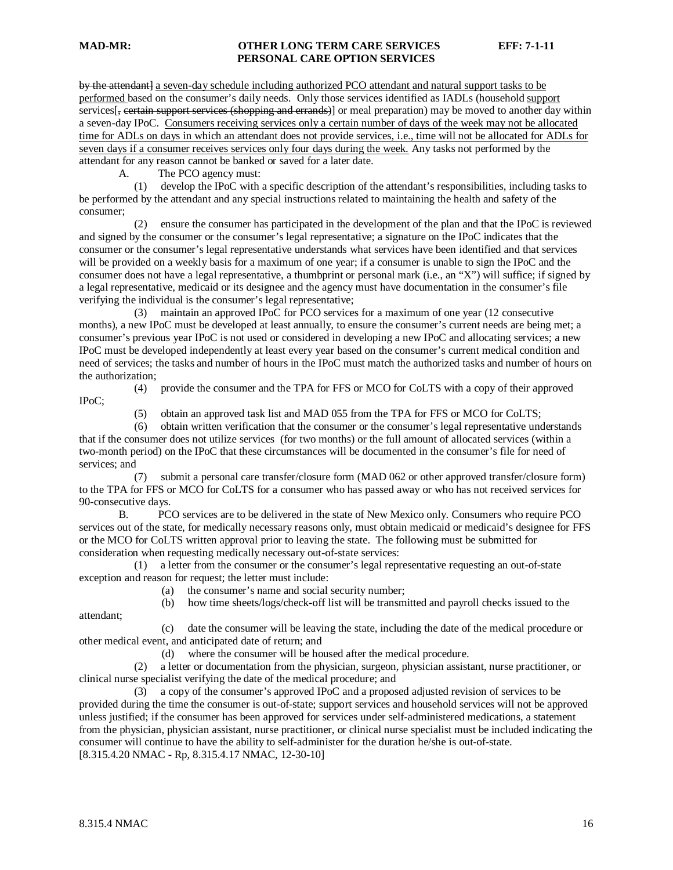by the attendant] a seven-day schedule including authorized PCO attendant and natural support tasks to be performed based on the consumer's daily needs. Only those services identified as IADLs (household support services $\left[\frac{1}{2} \right]$  certain support services (shopping and errands) or meal preparation) may be moved to another day within a seven-day IPoC. Consumers receiving services only a certain number of days of the week may not be allocated time for ADLs on days in which an attendant does not provide services, i.e., time will not be allocated for ADLs for seven days if a consumer receives services only four days during the week. Any tasks not performed by the attendant for any reason cannot be banked or saved for a later date.

A. The PCO agency must:

 (1) develop the IPoC with a specific description of the attendant's responsibilities, including tasks to be performed by the attendant and any special instructions related to maintaining the health and safety of the consumer;

 (2) ensure the consumer has participated in the development of the plan and that the IPoC is reviewed and signed by the consumer or the consumer's legal representative; a signature on the IPoC indicates that the consumer or the consumer's legal representative understands what services have been identified and that services will be provided on a weekly basis for a maximum of one year; if a consumer is unable to sign the IPoC and the consumer does not have a legal representative, a thumbprint or personal mark (i.e., an "X") will suffice; if signed by a legal representative, medicaid or its designee and the agency must have documentation in the consumer's file verifying the individual is the consumer's legal representative;

 (3) maintain an approved IPoC for PCO services for a maximum of one year (12 consecutive months), a new IPoC must be developed at least annually, to ensure the consumer's current needs are being met; a consumer's previous year IPoC is not used or considered in developing a new IPoC and allocating services; a new IPoC must be developed independently at least every year based on the consumer's current medical condition and need of services; the tasks and number of hours in the IPoC must match the authorized tasks and number of hours on the authorization;

IPoC;

(4) provide the consumer and the TPA for FFS or MCO for CoLTS with a copy of their approved

(5) obtain an approved task list and MAD 055 from the TPA for FFS or MCO for CoLTS;

 (6) obtain written verification that the consumer or the consumer's legal representative understands that if the consumer does not utilize services (for two months) or the full amount of allocated services (within a two-month period) on the IPoC that these circumstances will be documented in the consumer's file for need of services; and

 (7) submit a personal care transfer/closure form (MAD 062 or other approved transfer/closure form) to the TPA for FFS or MCO for CoLTS for a consumer who has passed away or who has not received services for 90-consecutive days.

B. PCO services are to be delivered in the state of New Mexico only. Consumers who require PCO services out of the state, for medically necessary reasons only, must obtain medicaid or medicaid's designee for FFS or the MCO for CoLTS written approval prior to leaving the state. The following must be submitted for consideration when requesting medically necessary out-of-state services:

 (1) a letter from the consumer or the consumer's legal representative requesting an out-of-state exception and reason for request; the letter must include:

(a) the consumer's name and social security number;

(b) how time sheets/logs/check-off list will be transmitted and payroll checks issued to the

attendant;

 (c) date the consumer will be leaving the state, including the date of the medical procedure or other medical event, and anticipated date of return; and

(d) where the consumer will be housed after the medical procedure.

 (2) a letter or documentation from the physician, surgeon, physician assistant, nurse practitioner, or clinical nurse specialist verifying the date of the medical procedure; and

 (3) a copy of the consumer's approved IPoC and a proposed adjusted revision of services to be provided during the time the consumer is out-of-state; support services and household services will not be approved unless justified; if the consumer has been approved for services under self-administered medications, a statement from the physician, physician assistant, nurse practitioner, or clinical nurse specialist must be included indicating the consumer will continue to have the ability to self-administer for the duration he/she is out-of-state. [8.315.4.20 NMAC - Rp, 8.315.4.17 NMAC, 12-30-10]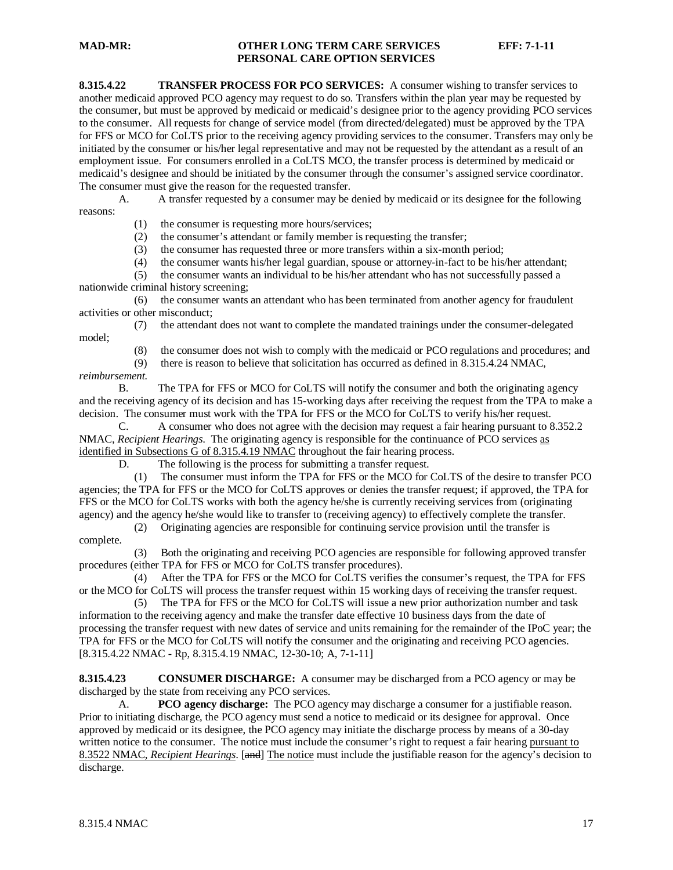**8.315.4.22 TRANSFER PROCESS FOR PCO SERVICES:** A consumer wishing to transfer services to another medicaid approved PCO agency may request to do so. Transfers within the plan year may be requested by the consumer, but must be approved by medicaid or medicaid's designee prior to the agency providing PCO services to the consumer. All requests for change of service model (from directed/delegated) must be approved by the TPA for FFS or MCO for CoLTS prior to the receiving agency providing services to the consumer. Transfers may only be initiated by the consumer or his/her legal representative and may not be requested by the attendant as a result of an employment issue. For consumers enrolled in a CoLTS MCO, the transfer process is determined by medicaid or medicaid's designee and should be initiated by the consumer through the consumer's assigned service coordinator. The consumer must give the reason for the requested transfer.

A. A transfer requested by a consumer may be denied by medicaid or its designee for the following reasons:

(1) the consumer is requesting more hours/services;

(2) the consumer's attendant or family member is requesting the transfer;

(3) the consumer has requested three or more transfers within a six-month period;

(4) the consumer wants his/her legal guardian, spouse or attorney-in-fact to be his/her attendant;

 (5) the consumer wants an individual to be his/her attendant who has not successfully passed a nationwide criminal history screening;

 (6) the consumer wants an attendant who has been terminated from another agency for fraudulent activities or other misconduct;

(7) the attendant does not want to complete the mandated trainings under the consumer-delegated

(8) the consumer does not wish to comply with the medicaid or PCO regulations and procedures; and

(9) there is reason to believe that solicitation has occurred as defined in 8.315.4.24 NMAC,

*reimbursement.*

model;

B. The TPA for FFS or MCO for CoLTS will notify the consumer and both the originating agency and the receiving agency of its decision and has 15-working days after receiving the request from the TPA to make a decision. The consumer must work with the TPA for FFS or the MCO for CoLTS to verify his/her request.

C. A consumer who does not agree with the decision may request a fair hearing pursuant to 8.352.2 NMAC, *Recipient Hearings*. The originating agency is responsible for the continuance of PCO services as identified in Subsections G of 8.315.4.19 NMAC throughout the fair hearing process.

D. The following is the process for submitting a transfer request.

 (1) The consumer must inform the TPA for FFS or the MCO for CoLTS of the desire to transfer PCO agencies; the TPA for FFS or the MCO for CoLTS approves or denies the transfer request; if approved, the TPA for FFS or the MCO for CoLTS works with both the agency he/she is currently receiving services from (originating agency) and the agency he/she would like to transfer to (receiving agency) to effectively complete the transfer.

 (2) Originating agencies are responsible for continuing service provision until the transfer is complete.

 (3) Both the originating and receiving PCO agencies are responsible for following approved transfer procedures (either TPA for FFS or MCO for CoLTS transfer procedures).

 (4) After the TPA for FFS or the MCO for CoLTS verifies the consumer's request, the TPA for FFS or the MCO for CoLTS will process the transfer request within 15 working days of receiving the transfer request.

 (5) The TPA for FFS or the MCO for CoLTS will issue a new prior authorization number and task information to the receiving agency and make the transfer date effective 10 business days from the date of processing the transfer request with new dates of service and units remaining for the remainder of the IPoC year; the TPA for FFS or the MCO for CoLTS will notify the consumer and the originating and receiving PCO agencies. [8.315.4.22 NMAC - Rp, 8.315.4.19 NMAC, 12-30-10; A, 7-1-11]

**8.315.4.23 CONSUMER DISCHARGE:** A consumer may be discharged from a PCO agency or may be discharged by the state from receiving any PCO services.

A. **PCO agency discharge:** The PCO agency may discharge a consumer for a justifiable reason. Prior to initiating discharge, the PCO agency must send a notice to medicaid or its designee for approval. Once approved by medicaid or its designee, the PCO agency may initiate the discharge process by means of a 30-day written notice to the consumer. The notice must include the consumer's right to request a fair hearing pursuant to 8.3522 NMAC, *Recipient Hearings*. [and] The notice must include the justifiable reason for the agency's decision to discharge.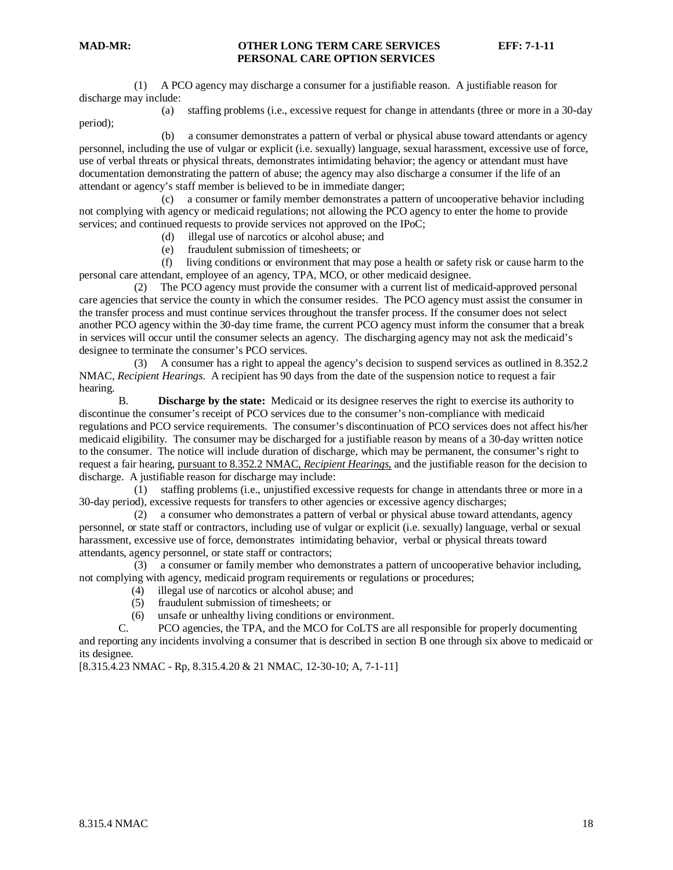(1) A PCO agency may discharge a consumer for a justifiable reason. A justifiable reason for discharge may include:

period);

(a) staffing problems (i.e., excessive request for change in attendants (three or more in a 30-day

 (b) a consumer demonstrates a pattern of verbal or physical abuse toward attendants or agency personnel, including the use of vulgar or explicit (i.e. sexually) language, sexual harassment, excessive use of force, use of verbal threats or physical threats, demonstrates intimidating behavior; the agency or attendant must have documentation demonstrating the pattern of abuse; the agency may also discharge a consumer if the life of an attendant or agency's staff member is believed to be in immediate danger;

 (c) a consumer or family member demonstrates a pattern of uncooperative behavior including not complying with agency or medicaid regulations; not allowing the PCO agency to enter the home to provide services; and continued requests to provide services not approved on the IPoC;

- (d) illegal use of narcotics or alcohol abuse; and
- (e) fraudulent submission of timesheets; or

 (f) living conditions or environment that may pose a health or safety risk or cause harm to the personal care attendant, employee of an agency, TPA, MCO, or other medicaid designee.

 (2) The PCO agency must provide the consumer with a current list of medicaid-approved personal care agencies that service the county in which the consumer resides. The PCO agency must assist the consumer in the transfer process and must continue services throughout the transfer process. If the consumer does not select another PCO agency within the 30-day time frame, the current PCO agency must inform the consumer that a break in services will occur until the consumer selects an agency. The discharging agency may not ask the medicaid's designee to terminate the consumer's PCO services.

 (3) A consumer has a right to appeal the agency's decision to suspend services as outlined in 8.352.2 NMAC, *Recipient Hearings*. A recipient has 90 days from the date of the suspension notice to request a fair hearing.

B. **Discharge by the state:** Medicaid or its designee reserves the right to exercise its authority to discontinue the consumer's receipt of PCO services due to the consumer's non-compliance with medicaid regulations and PCO service requirements. The consumer's discontinuation of PCO services does not affect his/her medicaid eligibility. The consumer may be discharged for a justifiable reason by means of a 30-day written notice to the consumer. The notice will include duration of discharge, which may be permanent, the consumer's right to request a fair hearing, pursuant to 8.352.2 NMAC, *Recipient Hearings,* and the justifiable reason for the decision to discharge. A justifiable reason for discharge may include:

 (1) staffing problems (i.e., unjustified excessive requests for change in attendants three or more in a 30-day period), excessive requests for transfers to other agencies or excessive agency discharges;

 (2) a consumer who demonstrates a pattern of verbal or physical abuse toward attendants, agency personnel, or state staff or contractors, including use of vulgar or explicit (i.e. sexually) language, verbal or sexual harassment, excessive use of force, demonstrates intimidating behavior, verbal or physical threats toward attendants, agency personnel, or state staff or contractors;

 (3) a consumer or family member who demonstrates a pattern of uncooperative behavior including, not complying with agency, medicaid program requirements or regulations or procedures;

- (4) illegal use of narcotics or alcohol abuse; and
- (5) fraudulent submission of timesheets; or
- (6) unsafe or unhealthy living conditions or environment.

C. PCO agencies, the TPA, and the MCO for CoLTS are all responsible for properly documenting and reporting any incidents involving a consumer that is described in section B one through six above to medicaid or its designee.

[8.315.4.23 NMAC - Rp, 8.315.4.20 & 21 NMAC, 12-30-10; A, 7-1-11]